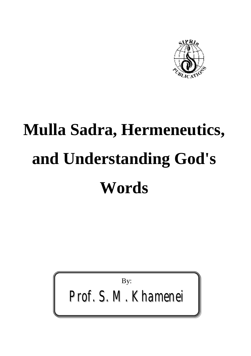

# **Mulla Sadra, Hermeneutics, and Understanding God's Words**

By:

*Prof. S. M. Khamenei*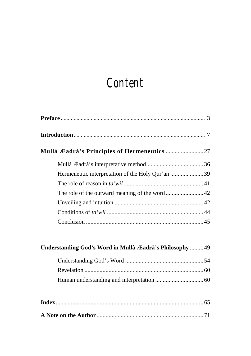## *Content*

| Understanding God's Word in Mullà Æadrà's Philosophy  49 |
|----------------------------------------------------------|
|                                                          |
|                                                          |
|                                                          |
|                                                          |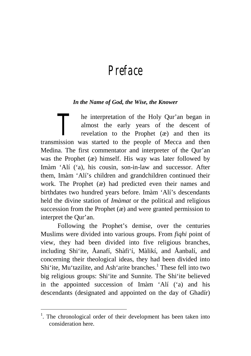### *Preface*

#### *In the Name of God, the Wise, the Knower*

he interpretation of the Holy Qur'an began in almost the early years of the descent of revelation to the Prophet (æ) and then its **1** be interpretation of the Holy Qur'an began in almost the early years of the descent of revelation to the Prophet ( $\alpha$ ) and then its transmission was started to the people of Mecca and then Medina. The first commentator and interpreter of the Qur'an was the Prophet (æ) himself. His way was later followed by Imàm 'Alí ('a), his cousin, son-in-law and successor. After them, Imàm 'Alí's children and grandchildren continued their work. The Prophet (æ) had predicted even their names and birthdates two hundred years before. Imàm 'Alí's descendants held the divine station of *Imàmat* or the political and religious succession from the Prophet  $(x)$  and were granted permission to interpret the Qur'an.

Following the Prophet's demise, over the centuries Muslims were divided into various groups. From *fiqhi* point of view, they had been divided into five religious branches, including Shi'ite*,* Åanafí*,* Shàfi'í, Màlikí, and Åanbalí, and concerning their theological ideas, they had been divided into Shi'ite, Mu'tazilite, and Ash'arite branches.<sup>1</sup> These fell into two big religious groups: Shi'ite and Sunnite*.* The Shi'ite believed in the appointed succession of Imàm 'Alí ('a) and his descendants (designated and appointed on the day of Ghadír)

<sup>&</sup>lt;sup>1</sup>. The chronological order of their development has been taken into consideration here.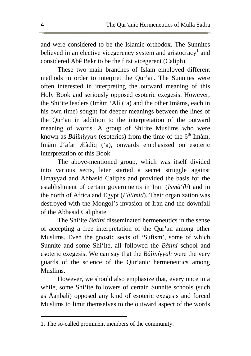and were considered to be the Islamic orthodox. The Sunnites believed in an elective vicegerency system and aristocracy<sup>1</sup> and considered Abê Bakr to be the first vicegerent (Caliph).

These two main branches of Islam employed different methods in order to interpret the Qur'an. The Sunnites were often interested in interpreting the outward meaning of this Holy Book and seriously opposed esoteric exegesis. However, the Shi'ite leaders (Imàm 'Alí ('a) and the other Imàms, each in his own time) sought for deeper meanings between the lines of the Qur'an in addition to the interpretation of the outward meaning of words. A group of Shi'ite Muslims who were known as *Bàiiniyyun* (esoterics) from the time of the  $6<sup>th</sup>$  Imàm, Imàm J'afar Æàdiq ('a), onwards emphasized on esoteric interpretation of this Book.

The above-mentioned group, which was itself divided into various sects, later started a secret struggle against Umayyad and Abbasid Caliphs and provided the basis for the establishment of certain governments in Iran (*Ismà'ílí*) and in the north of Africa and Egypt (*Fàìimid*). Their organization was destroyed with the Mongol's invasion of Iran and the downfall of the Abbasid Caliphate.

The Shi'ite *Bàìiní* disseminated hermeneutics in the sense of accepting a free interpretation of the Qur'an among other Muslims. Even the gnostic sects of 'Sufism', some of which Sunnite and some Shi'ite, all followed the *Bàìiní* school and esoteric exegesis. We can say that the *Bàìiníyyah* were the very guards of the science of the Qur'anic hermeneutics among Muslims.

However, we should also emphasize that, every once in a while, some Shi'ite followers of certain Sunnite schools (such as Åanbalí) opposed any kind of esoteric exegesis and forced Muslims to limit themselves to the outward aspect of the words

<sup>1.</sup> The so-called prominent members of the community.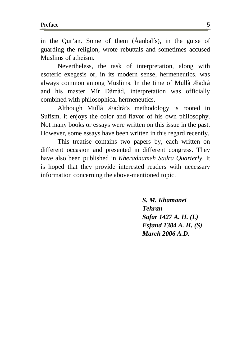in the Qur'an. Some of them (Åanbalís), in the guise of guarding the religion, wrote rebuttals and sometimes accused Muslims of atheism.

Nevertheless, the task of interpretation, along with esoteric exegesis or, in its modern sense, hermeneutics, was always common among Muslims. In the time of Mullà Æadrà and his master Mír Dàmàd, interpretation was officially combined with philosophical hermeneutics.

Although Mullà Æadrà's methodology is rooted in Sufism, it enjoys the color and flavor of his own philosophy. Not many books or essays were written on this issue in the past. However, some essays have been written in this regard recently.

This treatise contains two papers by, each written on different occasion and presented in different congress. They have also been published in *Kheradnameh Sadra Quarterly*. It is hoped that they provide interested readers with necessary information concerning the above-mentioned topic.

> *S. M. Khamanei Tehran Safar 1427 A. H. (L) Esfand 1384 A. H. (S) March 2006 A.D.*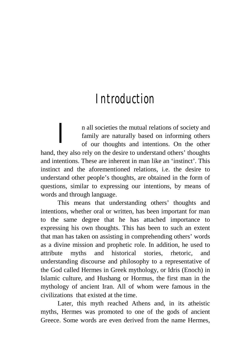### *Introduction*

n all societies the mutual relations of society and family are naturally based on informing others of our thoughts and intentions. On the other hand, they also rely on the desire to understand others' thoughts and intentions. These are inherent in man like an 'instinct'. This instinct and the aforementioned relations, i.e. the desire to understand other people's thoughts, are obtained in the form of questions, similar to expressing our intentions, by means of words and through language. *I*

This means that understanding others' thoughts and intentions, whether oral or written, has been important for man to the same degree that he has attached importance to expressing his own thoughts. This has been to such an extent that man has taken on assisting in comprehending others' words as a divine mission and prophetic role. In addition, he used to attribute myths and historical stories, rhetoric, and understanding discourse and philosophy to a representative of the God called Hermes in Greek mythology, or Idris (Enoch) in Islamic culture, and Hushang or Hormus, the first man in the mythology of ancient Iran. All of whom were famous in the civilizations that existed at the time.

Later, this myth reached Athens and, in its atheistic myths, Hermes was promoted to one of the gods of ancient Greece. Some words are even derived from the name Hermes,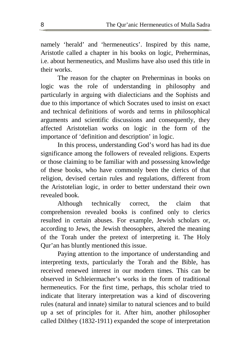namely 'herald' and 'hermeneutics'. Inspired by this name, Aristotle called a chapter in his books on logic, Preherminas, i.e. about hermeneutics, and Muslims have also used this title in their works.

The reason for the chapter on Preherminas in books on logic was the role of understanding in philosophy and particularly in arguing with dialecticians and the Sophists and due to this importance of which Socrates used to insist on exact and technical definitions of words and terms in philosophical arguments and scientific discussions and consequently, they affected Aristotelian works on logic in the form of the importance of 'definition and description' in logic.

In this process, understanding God's word has had its due significance among the followers of revealed religions. Experts or those claiming to be familiar with and possessing knowledge of these books, who have commonly been the clerics of that religion, devised certain rules and regulations, different from the Aristotelian logic, in order to better understand their own revealed book.

Although technically correct, the claim that comprehension revealed books is confined only to clerics resulted in certain abuses. For example, Jewish scholars or, according to Jews, the Jewish theosophers, altered the meaning of the Torah under the pretext of interpreting it. The Holy Qur'an has bluntly mentioned this issue.

Paying attention to the importance of understanding and interpreting texts, particularly the Torah and the Bible, has received renewed interest in our modern times. This can be observed in Schleiermacher's works in the form of traditional hermeneutics. For the first time, perhaps, this scholar tried to indicate that literary interpretation was a kind of discovering rules (natural and innate) similar to natural sciences and to build up a set of principles for it. After him, another philosopher called Dilthey (1832-1911) expanded the scope of interpretation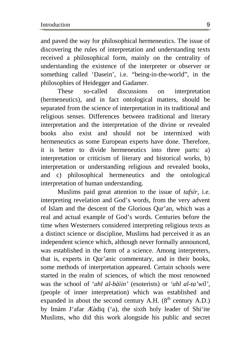and paved the way for philosophical hermeneutics. The issue of discovering the rules of interpretation and understanding texts received a philosophical form, mainly on the centrality of understanding the existence of the interpreter or observer or something called 'Dasein', i.e. "being-in-the-world", in the philosophies of Heidegger and Gadamer.

These so-called discussions on interpretation (hermeneutics), and in fact ontological matters, should be separated from the science of interpretation in its traditional and religious senses. Differences between traditional and literary interpretation and the interpretation of the divine or revealed books also exist and should not be intermixed with hermeneutics as some European experts have done. Therefore, it is better to divide hermeneutics into three parts: a) interpretation or criticism of literary and historical works, b) interpretation or understanding religious and revealed books, and c) philosophical hermeneutics and the ontological interpretation of human understanding.

Muslims paid great attention to the issue of *tafsír,* i.e. interpreting revelation and God's words, from the very advent of Islam and the descent of the Glorious Qur'an, which was a real and actual example of God's words. Centuries before the time when Westerners considered interpreting religious texts as a distinct science or discipline, Muslims had perceived it as an independent science which, although never formally announced, was established in the form of a science. Among interpreters, that is, experts in Qur'anic commentary, and in their books, some methods of interpretation appeared. Certain schools were started in the realm of sciences, of which the most renowned was the school of '*ahl al-bàìin'* (esoterists) or *'ahl al-ta'wíl'*, (people of inner interpretation) which was established and expanded in about the second century A.H.  $(8<sup>th</sup>$  century A.D.) by Imàm J'afar Æàdiq ('a), the sixth holy leader of Shi'ite Muslims, who did this work alongside his public and secret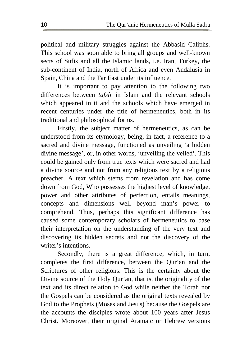political and military struggles against the Abbasid Caliphs. This school was soon able to bring all groups and well-known sects of Sufis and all the Islamic lands, i.e. Iran, Turkey, the sub-continent of India, north of Africa and even Andalusia in Spain, China and the Far East under its influence.

It is important to pay attention to the following two differences between *tafsír* in Islam and the relevant schools which appeared in it and the schools which have emerged in recent centuries under the title of hermeneutics, both in its traditional and philosophical forms.

Firstly, the subject matter of hermeneutics, as can be understood from its etymology, being, in fact, a reference to a sacred and divine message, functioned as unveiling 'a hidden divine message', or, in other words, 'unveiling the veiled'. This could be gained only from true texts which were sacred and had a divine source and not from any religious text by a religious preacher. A text which stems from revelation and has come down from God, Who possesses the highest level of knowledge, power and other attributes of perfection, entails meanings, concepts and dimensions well beyond man's power to comprehend. Thus, perhaps this significant difference has caused some contemporary scholars of hermeneutics to base their interpretation on the understanding of the very text and discovering its hidden secrets and not the discovery of the writer's intentions.

Secondly, there is a great difference, which, in turn, completes the first difference, between the Qur'an and the Scriptures of other religions. This is the certainty about the Divine source of the Holy Qur'an, that is, the originality of the text and its direct relation to God while neither the Torah nor the Gospels can be considered as the original texts revealed by God to the Prophets (Moses and Jesus) because the Gospels are the accounts the disciples wrote about 100 years after Jesus Christ. Moreover, their original Aramaic or Hebrew versions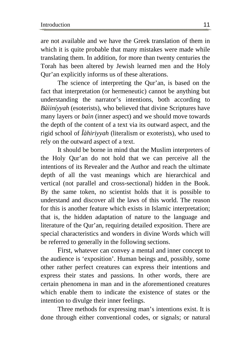are not available and we have the Greek translation of them in which it is quite probable that many mistakes were made while translating them. In addition, for more than twenty centuries the Torah has been altered by Jewish learned men and the Holy Qur'an explicitly informs us of these alterations.

The science of interpreting the Qur'an, is based on the fact that interpretation (or hermeneutic) cannot be anything but understanding the narrator's intentions, both according to *Bàìiníyyah* (esoterists), who believed that divine Scriptures have many layers or *baìn* (inner aspect) and we should move towards the depth of the content of a text via its outward aspect, and the rigid school of *Îàhiriyyah* (literalism or exoterists), who used to rely on the outward aspect of a text.

It should be borne in mind that the Muslim interpreters of the Holy Qur'an do not hold that we can perceive all the intentions of its Revealer and the Author and reach the ultimate depth of all the vast meanings which are hierarchical and vertical (not parallel and cross-sectional) hidden in the Book. By the same token, no scientist holds that it is possible to understand and discover all the laws of this world. The reason for this is another feature which exists in Islamic interpretation; that is, the hidden adaptation of nature to the language and literature of the Qur'an, requiring detailed exposition. There are special characteristics and wonders in divine Words which will be referred to generally in the following sections.

First, whatever can convey a mental and inner concept to the audience is 'exposition'. Human beings and, possibly, some other rather perfect creatures can express their intentions and express their states and passions. In other words, there are certain phenomena in man and in the aforementioned creatures which enable them to indicate the existence of states or the intention to divulge their inner feelings.

Three methods for expressing man's intentions exist. It is done through either conventional codes, or signals; or natural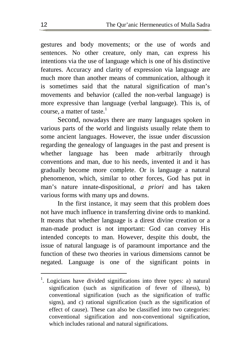gestures and body movements; or the use of words and sentences. No other creature, only man, can express his intentions via the use of language which is one of his distinctive features. Accuracy and clarity of expression via language are much more than another means of communication, although it is sometimes said that the natural signification of man's movements and behavior (called the non-verbal language) is more expressive than language (verbal language). This is, of course, a matter of taste. $^1$ 

Second, nowadays there are many languages spoken in various parts of the world and linguists usually relate them to some ancient languages. However, the issue under discussion regarding the genealogy of languages in the past and present is whether language has been made arbitrarily through conventions and man, due to his needs, invented it and it has gradually become more complete. Or is language a natural phenomenon, which, similar to other forces, God has put in man's nature innate-dispositional, *a priori* and has taken various forms with many ups and downs.

In the first instance, it may seem that this problem does not have much influence in transferring divine ords to mankind. It means that whether language is a direst divine creation or a man-made product is not important: God can convey His intended concepts to man. However, despite this doubt, the issue of natural language is of paramount importance and the function of these two theories in various dimensions cannot be negated. Language is one of the significant points in

 $1$ . Logicians have divided significations into three types: a) natural signification (such as signification of fever of illness), b) conventional signification (such as the signification of traffic signs), and c) rational signification (such as the signification of effect of cause). These can also be classified into two categories: conventional signification and non-conventional signification, which includes rational and natural significations.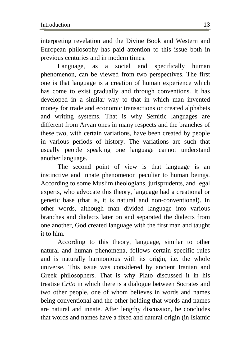interpreting revelation and the Divine Book and Western and European philosophy has paid attention to this issue both in previous centuries and in modern times.

Language, as a social and specifically human phenomenon, can be viewed from two perspectives. The first one is that language is a creation of human experience which has come to exist gradually and through conventions. It has developed in a similar way to that in which man invented money for trade and economic transactions or created alphabets and writing systems. That is why Semitic languages are different from Aryan ones in many respects and the branches of these two, with certain variations, have been created by people in various periods of history. The variations are such that usually people speaking one language cannot understand another language.

The second point of view is that language is an instinctive and innate phenomenon peculiar to human beings. According to some Muslim theologians, jurisprudents, and legal experts, who advocate this theory, language had a creational or genetic base (that is, it is natural and non-conventional). In other words, although man divided language into various branches and dialects later on and separated the dialects from one another, God created language with the first man and taught it to him.

According to this theory, language, similar to other natural and human phenomena, follows certain specific rules and is naturally harmonious with its origin, i.e. the whole universe. This issue was considered by ancient Iranian and Greek philosophers. That is why Plato discussed it in his treatise *Crito* in which there is a dialogue between Socrates and two other people, one of whom believes in words and names being conventional and the other holding that words and names are natural and innate. After lengthy discussion, he concludes that words and names have a fixed and natural origin (in Islamic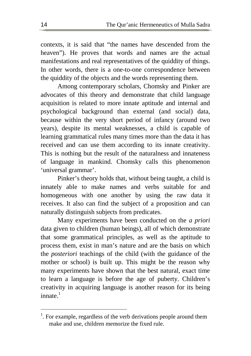contexts, it is said that "the names have descended from the heaven"). He proves that words and names are the actual manifestations and real representatives of the quiddity of things. In other words, there is a one-to-one correspondence between the quiddity of the objects and the words representing them.

Among contemporary scholars, Chomsky and Pinker are advocates of this theory and demonstrate that child language acquisition is related to more innate aptitude and internal and psychological background than external (and social) data, because within the very short period of infancy (around two years), despite its mental weaknesses, a child is capable of learning grammatical rules many times more than the data it has received and can use them according to its innate creativity. This is nothing but the result of the naturalness and innateness of language in mankind. Chomsky calls this phenomenon 'universal grammar'.

Pinker's theory holds that, without being taught, a child is innately able to make names and verbs suitable for and homogeneous with one another by using the raw data it receives. It also can find the subject of a proposition and can naturally distinguish subjects from predicates.

Many experiments have been conducted on the *a priori*  data given to children (human beings), all of which demonstrate that some grammatical principles, as well as the aptitude to process them, exist in man's nature and are the basis on which the *posteriori* teachings of the child (with the guidance of the mother or school) is built up. This might be the reason why many experiments have shown that the best natural, exact time to learn a language is before the age of puberty. Children's creativity in acquiring language is another reason for its being innate  $^{\rm 1}$ 

 $<sup>1</sup>$ . For example, regardless of the verb derivations people around them</sup> make and use, children memorize the fixed rule.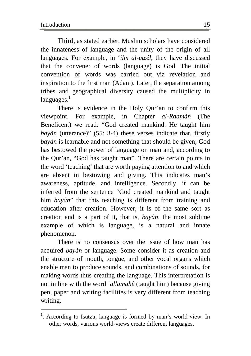$\overline{a}$ 

Third, as stated earlier, Muslim scholars have considered the innateness of language and the unity of the origin of all languages. For example, in '*ilm al-uæêl*, they have discussed that the convener of words (language) is God. The initial convention of words was carried out via revelation and inspiration to the first man (Adam). Later, the separation among tribes and geographical diversity caused the multiplicity in  $lanquages.<sup>1</sup>$ 

There is evidence in the Holy Qur'an to confirm this viewpoint. For example, in Chapter *al-Raåmàn* (The Beneficent) we read: "God created mankind. He taught him *bayàn* (utterance)" (55: 3-4) these verses indicate that, firstly *bayàn* is learnable and not something that should be given; God has bestowed the power of language on man and, according to the Qur'an, "God has taught man". There are certain points in the word 'teaching' that are worth paying attention to and which are absent in bestowing and giving. This indicates man's awareness, aptitude, and intelligence. Secondly, it can be inferred from the sentence "God created mankind and taught him *bayàn*" that this teaching is different from training and education after creation. However, it is of the same sort as creation and is a part of it, that is, *bayàn*, the most sublime example of which is language, is a natural and innate phenomenon.

There is no consensus over the issue of how man has acquired *bayàn* or language. Some consider it as creation and the structure of mouth, tongue, and other vocal organs which enable man to produce sounds, and combinations of sounds, for making words thus creating the language. This interpretation is not in line with the word *'allamahê* (taught him) because giving pen, paper and writing facilities is very different from teaching writing.

<sup>&</sup>lt;sup>1</sup>. According to Isutzu, language is formed by man's world-view. In other words, various world-views create different languages.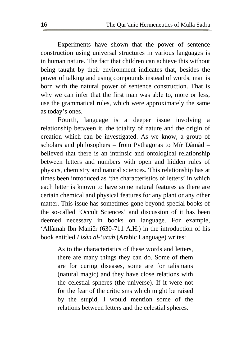Experiments have shown that the power of sentence construction using universal structures in various languages is in human nature. The fact that children can achieve this without being taught by their environment indicates that, besides the power of talking and using compounds instead of words, man is born with the natural power of sentence construction. That is why we can infer that the first man was able to, more or less, use the grammatical rules, which were approximately the same as today's ones.

Fourth, language is a deeper issue involving a relationship between it, the totality of nature and the origin of creation which can be investigated. As we know, a group of scholars and philosophers – from Pythagoras to Mír Dàmàd – believed that there is an intrinsic and ontological relationship between letters and numbers with open and hidden rules of physics, chemistry and natural sciences. This relationship has at times been introduced as 'the characteristics of letters' in which each letter is known to have some natural features as there are certain chemical and physical features for any plant or any other matter. This issue has sometimes gone beyond special books of the so-called 'Occult Sciences' and discussion of it has been deemed necessary in books on language. For example, 'Allàmah Ibn Manîêr (630-711 A.H.) in the introduction of his book entitled *Lisàn al-'arab* (Arabic Language) writes:

As to the characteristics of these words and letters, there are many things they can do. Some of them are for curing diseases, some are for talismans (natural magic) and they have close relations with the celestial spheres (the universe). If it were not for the fear of the criticisms which might be raised by the stupid, I would mention some of the relations between letters and the celestial spheres.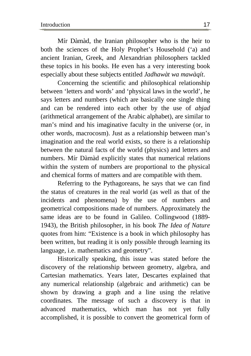Mír Dàmàd, the Iranian philosopher who is the heir to both the sciences of the Holy Prophet's Household ('a) and ancient Iranian, Greek, and Alexandrian philosophers tackled these topics in his books. He even has a very interesting book especially about these subjects entitled *Jadhawàt wa mawàqít*.

Concerning the scientific and philosophical relationship between 'letters and words' and 'physical laws in the world', he says letters and numbers (which are basically one single thing and can be rendered into each other by the use of *abjad* (arithmetical arrangement of the Arabic alphabet), are similar to man's mind and his imaginative faculty in the universe (or, in other words, macrocosm). Just as a relationship between man's imagination and the real world exists, so there is a relationship between the natural facts of the world (physics) and letters and numbers. Mír Dàmàd explicitly states that numerical relations within the system of numbers are proportional to the physical and chemical forms of matters and are compatible with them.

Referring to the Pythagoreans, he says that we can find the status of creatures in the real world (as well as that of the incidents and phenomena) by the use of numbers and geometrical compositions made of numbers. Approximately the same ideas are to be found in Galileo. Collingwood (1889- 1943), the British philosopher, in his book *The Idea of Nature* quotes from him: "Existence is a book in which philosophy has been written, but reading it is only possible through learning its language, i.e. mathematics and geometry".

Historically speaking, this issue was stated before the discovery of the relationship between geometry, algebra, and Cartesian mathematics. Years later, Descartes explained that any numerical relationship (algebraic and arithmetic) can be shown by drawing a graph and a line using the relative coordinates. The message of such a discovery is that in advanced mathematics, which man has not yet fully accomplished, it is possible to convert the geometrical form of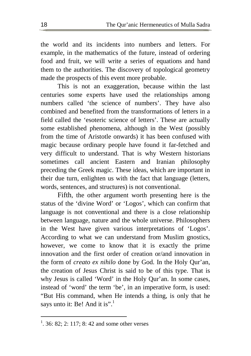the world and its incidents into numbers and letters. For example, in the mathematics of the future, instead of ordering food and fruit, we will write a series of equations and hand them to the authorities. The discovery of topological geometry made the prospects of this event more probable.

This is not an exaggeration, because within the last centuries some experts have used the relationships among numbers called 'the science of numbers'. They have also combined and benefited from the transformations of letters in a field called the 'esoteric science of letters'. These are actually some established phenomena, although in the West (possibly from the time of Aristotle onwards) it has been confused with magic because ordinary people have found it far-fetched and very difficult to understand. That is why Western historians sometimes call ancient Eastern and Iranian philosophy preceding the Greek magic. These ideas, which are important in their due turn, enlighten us with the fact that language (letters, words, sentences, and structures) is not conventional.

Fifth, the other argument worth presenting here is the status of the 'divine Word' or 'Logos', which can confirm that language is not conventional and there is a close relationship between language, nature and the whole universe. Philosophers in the West have given various interpretations of 'Logos'. According to what we can understand from Muslim gnostics, however, we come to know that it is exactly the prime innovation and the first order of creation or/and innovation in the form of *creato ex nihilo* done by God. In the Holy Qur'an, the creation of Jesus Christ is said to be of this type. That is why Jesus is called 'Word' in the Holy Qur'an. In some cases, instead of 'word' the term 'be', in an imperative form, is used: "But His command, when He intends a thing, is only that he says unto it: Be! And it is".<sup>1</sup>

<sup>&</sup>lt;sup>1</sup>. 36: 82; 2: 117; 8: 42 and some other verses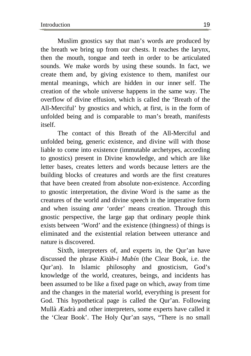Muslim gnostics say that man's words are produced by the breath we bring up from our chests. It reaches the larynx, then the mouth, tongue and teeth in order to be articulated sounds. We make words by using these sounds. In fact, we create them and, by giving existence to them, manifest our mental meanings, which are hidden in our inner self. The creation of the whole universe happens in the same way. The overflow of divine effusion, which is called the 'Breath of the All-Merciful' by gnostics and which, at first, is in the form of unfolded being and is comparable to man's breath, manifests itself.

The contact of this Breath of the All-Merciful and unfolded being, generic existence, and divine will with those liable to come into existence (immutable archetypes, according to gnostics) present in Divine knowledge, and which are like letter bases, creates letters and words because letters are the building blocks of creatures and words are the first creatures that have been created from absolute non-existence. According to gnostic interpretation, the divine Word is the same as the creatures of the world and divine speech in the imperative form and when issuing *amr* 'order' means creation. Through this gnostic perspective, the large gap that ordinary people think exists between 'Word' and the existence (thingness) of things is eliminated and the existential relation between utterance and nature is discovered.

Sixth, interpreters of, and experts in, the Qur'an have discussed the phrase *Kitàb-i Mubín* (the Clear Book, i.e. the Qur'an). In Islamic philosophy and gnosticism, God's knowledge of the world, creatures, beings, and incidents has been assumed to be like a fixed page on which, away from time and the changes in the material world, everything is present for God. This hypothetical page is called the Qur'an. Following Mullà Æadrà and other interpreters, some experts have called it the 'Clear Book'. The Holy Qur'an says, "There is no small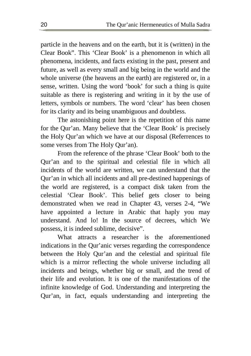particle in the heavens and on the earth, but it is (written) in the Clear Book". This 'Clear Book' is a phenomenon in which all phenomena, incidents, and facts existing in the past, present and future, as well as every small and big being in the world and the whole universe (the heavens an the earth) are registered or, in a sense, written. Using the word 'book' for such a thing is quite suitable as there is registering and writing in it by the use of letters, symbols or numbers. The word 'clear' has been chosen for its clarity and its being unambiguous and doubtless.

The astonishing point here is the repetition of this name for the Qur'an. Many believe that the 'Clear Book' is precisely the Holy Qur'an which we have at our disposal (Referrences to some verses from The Holy Qur'an).

From the reference of the phrase 'Clear Book' both to the Qur'an and to the spiritual and celestial file in which all incidents of the world are written, we can understand that the Qur'an in which all incidents and all pre-destined happenings of the world are registered, is a compact disk taken from the celestial 'Clear Book'. This belief gets closer to being demonstrated when we read in Chapter 43, verses 2-4, "We have appointed a lecture in Arabic that haply you may understand. And lo! In the source of decrees, which We possess, it is indeed sublime, decisive".

What attracts a researcher is the aforementioned indications in the Qur'anic verses regarding the correspondence between the Holy Qur'an and the celestial and spiritual file which is a mirror reflecting the whole universe including all incidents and beings, whether big or small, and the trend of their life and evolution. It is one of the manifestations of the infinite knowledge of God. Understanding and interpreting the Qur'an, in fact, equals understanding and interpreting the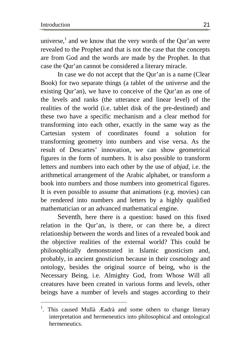$\overline{a}$ 

universe,<sup>1</sup> and we know that the very words of the Qur'an were revealed to the Prophet and that is not the case that the concepts are from God and the words are made by the Prophet. In that case the Qur'an cannot be considered a literary miracle.

In case we do not accept that the Qur'an is a name (Clear Book) for two separate things (a tablet of the universe and the existing Qur'an), we have to conceive of the Qur'an as one of the levels and ranks (the utterance and linear level) of the realities of the world (i.e. tablet disk of the pre-destined) and these two have a specific mechanism and a clear method for transforming into each other, exactly in the same way as the Cartesian system of coordinates found a solution for transforming geometry into numbers and vise versa. As the result of Descartes' innovation, we can show geometrical figures in the form of numbers. It is also possible to transform letters and numbers into each other by the use of *abjad*, i.e. the arithmetical arrangement of the Arabic alphabet, or transform a book into numbers and those numbers into geometrical figures. It is even possible to assume that animations (e.g. movies) can be rendered into numbers and letters by a highly qualified mathematician or an advanced mathematical engine.

Seventh, here there is a question: based on this fixed relation in the Qur'an, is there, or can there be, a direct relationship between the words and lines of a revealed book and the objective realities of the external world? This could be philosophically demonstrated in Islamic gnosticism and, probably, in ancient gnosticism because in their cosmology and ontology, besides the original source of being, who is the Necessary Being, i.e. Almighty God, from Whose Will all creatures have been created in various forms and levels, other beings have a number of levels and stages according to their

<sup>&</sup>lt;sup>1</sup>. This caused Mullà Æadrà and some others to change literary interpretation and hermeneutics into philosophical and ontological hermeneutics.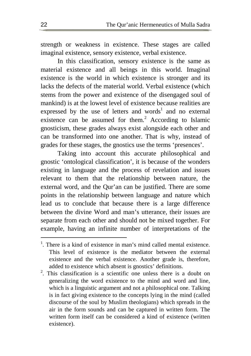strength or weakness in existence. These stages are called imaginal existence, sensory existence, verbal existence.

In this classification, sensory existence is the same as material existence and all beings in this world. Imaginal existence is the world in which existence is stronger and its lacks the defects of the material world. Verbal existence (which stems from the power and existence of the disengaged soul of mankind) is at the lowest level of existence because realities are expressed by the use of letters and words<sup>1</sup> and no external existence can be assumed for them.<sup>2</sup> According to Islamic gnosticism, these grades always exist alongside each other and can be transformed into one another. That is why, instead of grades for these stages, the gnostics use the terms 'presences'.

Taking into account this accurate philosophical and gnostic 'ontological classification', it is because of the wonders existing in language and the process of revelation and issues relevant to them that the relationship between nature, the external word, and the Qur'an can be justified. There are some points in the relationship between language and nature which lead us to conclude that because there is a large difference between the divine Word and man's utterance, their issues are separate from each other and should not be mixed together. For example, having an infinite number of interpretations of the

<sup>&</sup>lt;sup>1</sup>. There is a kind of existence in man's mind called mental existence. This level of existence is the mediator between the external existence and the verbal existence. Another grade is, therefore, added to existence which absent is gnostics' definitions.

<sup>&</sup>lt;sup>2</sup>. This classification is a scientific one unless there is a doubt on generalizing the word existence to the mind and word and line, which is a linguistic argument and not a philosophical one. Talking is in fact giving existence to the concepts lying in the mind (called discourse of the soul by Muslim theologians) which spreads in the air in the form sounds and can be captured in written form. The written form itself can be considered a kind of existence (written existence).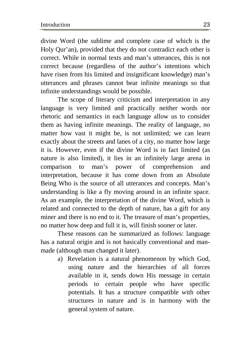divine Word (the sublime and complete case of which is the Holy Qur'an), provided that they do not contradict each other is correct. While in normal texts and man's utterances, this is not correct because (regardless of the author's intentions which have risen from his limited and insignificant knowledge) man's utterances and phrases cannot bear infinite meanings so that infinite understandings would be possible.

The scope of literary criticism and interpretation in any language is very limited and practically neither words nor rhetoric and semantics in each language allow us to consider them as having infinite meanings. The reality of language, no matter how vast it might be, is not unlimited; we can learn exactly about the streets and lanes of a city, no matter how large it is. However, even if the divine Word is in fact limited (as nature is also limited), it lies in an infinitely large arena in comparison to man's power of comprehension and interpretation, because it has come down from an Absolute Being Who is the source of all utterances and concepts. Man's understanding is like a fly moving around in an infinite space. As an example, the interpretation of the divine Word, which is related and connected to the depth of nature, has a gift for any miner and there is no end to it. The treasure of man's properties, no matter how deep and full it is, will finish sooner or later.

These reasons can be summarized as follows: language has a natural origin and is not basically conventional and manmade (although man changed it later).

a) Revelation is a natural phenomenon by which God, using nature and the hierarchies of all forces available in it, sends down His message in certain periods to certain people who have specific potentials. It has a structure compatible with other structures in nature and is in harmony with the general system of nature.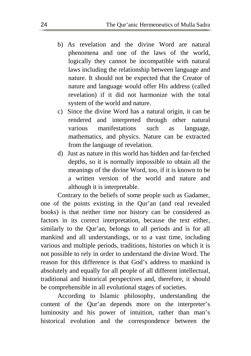- b) As revelation and the divine Word are natural phenomena and one of the laws of the world, logically they cannot be incompatible with natural laws including the relationship between language and nature. It should not be expected that the Creator of nature and language would offer His address (called revelation) if it did not harmonize with the total system of the world and nature.
- c) Since the divine Word has a natural origin, it can be rendered and interpreted through other natural various manifestations such as language, mathematics, and physics. Nature can be extracted from the language of revelation.
- d) Just as nature in this world has hidden and far-fetched depths, so it is normally impossible to obtain all the meanings of the divine Word, too, if it is known to be a written version of the world and nature and although it is interpretable.

Contrary to the beliefs of some people such as Gadamer, one of the points existing in the Qur'an (and real revealed books) is that neither time nor history can be considered as factors in its correct interpretation, because the text either, similarly to the Qur'an, belongs to all periods and is for all mankind and all understandings, or to a vast time, including various and multiple periods, traditions, histories on which it is not possible to rely in order to understand the divine Word. The reason for this difference is that God's address to mankind is absolutely and equally for all people of all different intellectual, traditional and historical perspectives and, therefore, it should be comprehensible in all evolutional stages of societies.

According to Islamic philosophy, understanding the content of the Qur'an depends more on the interpreter's luminosity and his power of intuition, rather than man's historical evolution and the correspondence between the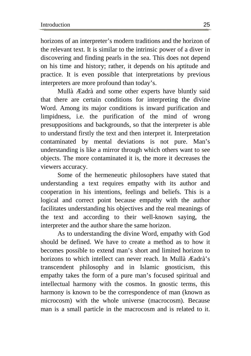horizons of an interpreter's modern traditions and the horizon of the relevant text. It is similar to the intrinsic power of a diver in discovering and finding pearls in the sea. This does not depend on his time and history; rather, it depends on his aptitude and practice. It is even possible that interpretations by previous interpreters are more profound than today's.

Mullà Æadrà and some other experts have bluntly said that there are certain conditions for interpreting the divine Word. Among its major conditions is inward purification and limpidness, i.e. the purification of the mind of wrong presuppositions and backgrounds, so that the interpreter is able to understand firstly the text and then interpret it. Interpretation contaminated by mental deviations is not pure. Man's understanding is like a mirror through which others want to see objects. The more contaminated it is, the more it decreases the viewers accuracy.

Some of the hermeneutic philosophers have stated that understanding a text requires empathy with its author and cooperation in his intentions, feelings and beliefs. This is a logical and correct point because empathy with the author facilitates understanding his objectives and the real meanings of the text and according to their well-known saying, the interpreter and the author share the same horizon.

As to understanding the divine Word, empathy with God should be defined. We have to create a method as to how it becomes possible to extend man's short and limited horizon to horizons to which intellect can never reach. In Mullà Æadrà's transcendent philosophy and in Islamic gnosticism, this empathy takes the form of a pure man's focused spiritual and intellectual harmony with the cosmos. In gnostic terms, this harmony is known to be the correspondence of man (known as microcosm) with the whole universe (macrocosm). Because man is a small particle in the macrocosm and is related to it.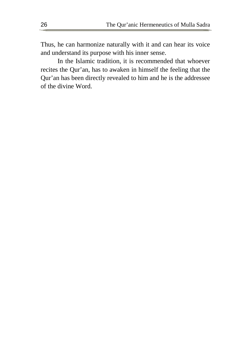Thus, he can harmonize naturally with it and can hear its voice and understand its purpose with his inner sense.

In the Islamic tradition, it is recommended that whoever recites the Qur'an, has to awaken in himself the feeling that the Qur'an has been directly revealed to him and he is the addressee of the divine Word.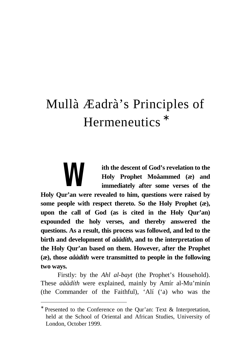# Mullà Æadrà's Principles of Hermeneutics **\***

**ith the descent of God's revelation to the Holy Prophet Moåammed (æ) and immediately after some verses of the Holy Qur'an were revealed to him, questions were raised by some people with respect thereto. So the Holy Prophet (æ), upon the call of God (as is cited in the Holy Qur'an) expounded the holy verses, and thereby answered the questions. As a result, this process was followed, and led to the birth and development of** *aåàdíth***, and to the interpretation of the Holy Qur'an based on them. However, after the Prophet (æ), those** *aåàdíth* **were transmitted to people in the following two ways.**  *W* 

Firstly: by the *Ahl al-bayt* (the Prophet's Household). These *aåàdíth* were explained, mainly by Amír al-Mu'minín (the Commander of the Faithful), 'Alí ('a) who was the

<sup>∗</sup> Presented to the Conference on the Qur'an: Text & Interpretation, held at the School of Oriental and African Studies, University of London, October 1999.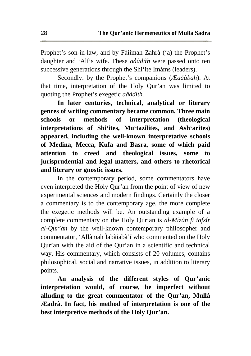Prophet's son-in-law, and by Fàìimah Zahrà ('a) the Prophet's daughter and 'Alí's wife. These *aåàdíth* were passed onto ten successive generations through the Shi'ite Imàms (leaders).

Secondly: by the Prophet's companions (*Æaåàbah*). At that time, interpretation of the Holy Qur'an was limited to quoting the Prophet's exegetic *aåàdíth.* 

**In later centuries, technical, analytical or literary genres of writing commentary became common. Three main schools or methods of interpretation (theological interpretations of Shi'ites, Mu'tazilites, and Ash'arites) appeared, including the well-known interpretative schools of Medina, Mecca, Kufa and Basra, some of which paid attention to creed and theological issues, some to jurisprudential and legal matters, and others to rhetorical and literary or gnostic issues.** 

In the contemporary period, some commentators have even interpreted the Holy Qur'an from the point of view of new experimental sciences and modern findings. Certainly the closer a commentary is to the contemporary age, the more complete the exegetic methods will be. An outstanding example of a complete commentary on the Holy Qur'an is *al-Mízàn fi tafsír al-Qur'àn* by the well-known contemporary philosopher and commentator, 'Allàmah Ìabàìabà'í who commented on the Holy Qur'an with the aid of the Qur'an in a scientific and technical way. His commentary, which consists of 20 volumes, contains philosophical, social and narrative issues, in addition to literary points.

**An analysis of the different styles of Qur'anic interpretation would, of course, be imperfect without alluding to the great commentator of the Qur'an, Mullà Æadrà. In fact, his method of interpretation is one of the best interpretive methods of the Holy Qur'an.**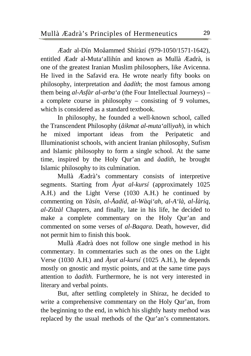Ĭ

Æadr al-Dín Moåammed Shíràzí (979-1050/1571-1642), entitled Æadr al-Muta'allihín and known as Mullà Æadrà, is one of the greatest Iranian Muslim philosophers, like Avicenna. He lived in the Safavid era. He wrote nearly fifty books on philosophy, interpretation and *åadíth*; the most famous among them being *al-Asfàr al-arba'a* (the Four Intellectual Journeys) – a complete course in philosophy – consisting of 9 volumes, which is considered as a standard textbook.

In philosophy, he founded a well-known school, called the Transcendent Philosophy (*åikmat al-muta'alliyah*), in which he mixed important ideas from the Peripatetic and Illuminationist schools, with ancient Iranian philosophy, Sufism and Islamic philosophy to form a single school. At the same time, inspired by the Holy Qur'an and *åadíth*, he brought Islamic philosophy to its culmination.

Mullà Æadrà's commentary consists of interpretive segments. Starting from *Àyat al-kursí* (approximately 1025 A.H.) and the Light Verse (1030 A.H.) he continued by commenting on *Yàsín, al-Åadíd, al-Wàqi'ah, al-A'là, al-Ìàriq, al-Zilzàl* Chapters, and finally, late in his life, he decided to make a complete commentary on the Holy Qur'an and commented on some verses of *al-Baqara.* Death, however, did not permit him to finish this book.

Mullà Æadrà does not follow one single method in his commentary. In commentaries such as the ones on the Light Verse (1030 A.H.) and *Àyat al-kursí* (1025 A.H.), he depends mostly on gnostic and mystic points, and at the same time pays attention to *åadíth.* Furthermore, he is not very interested in literary and verbal points.

But, after settling completely in Shiraz, he decided to write a comprehensive commentary on the Holy Qur'an, from the beginning to the end, in which his slightly hasty method was replaced by the usual methods of the Qur'an's commentators.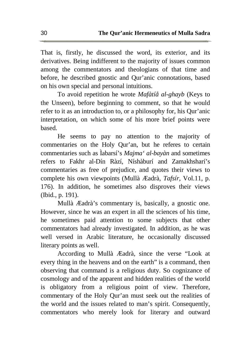That is, firstly, he discussed the word, its exterior, and its derivatives. Being indifferent to the majority of issues common among the commentators and theologians of that time and before, he described gnostic and Qur'anic connotations, based on his own special and personal intuitions.

To avoid repetition he wrote *Mafàtíå al-ghayb* (Keys to the Unseen), before beginning to comment, so that he would refer to it as an introduction to, or a philosophy for, his Qur'anic interpretation, on which some of his more brief points were based.

He seems to pay no attention to the majority of commentaries on the Holy Qur'an, but he referes to certain commentaries such as Ìabarsí's *Majma' al-bayàn* and sometimes refers to Fakhr al-Dín Ràzí, Níshàburí and Zamakhsharí's commentaries as free of prejudice, and quotes their views to complete his own viewpoints (Mullà Æadrà, *Tafsír*, Vol.11, p. 176). In addition, he sometimes also disproves their views (Ibid*.*, p. 191).

Mullà Æadrà's commentary is, basically, a gnostic one. However, since he was an expert in all the sciences of his time, he sometimes paid attention to some subjects that other commentators had already investigated. In addition, as he was well versed in Arabic literature, he occasionally discussed literary points as well.

According to Mullà Æadrà, since the verse "Look at every thing in the heavens and on the earth" is a command, then observing that command is a religious duty. So cognizance of cosmology and of the apparent and hidden realities of the world is obligatory from a religious point of view. Therefore, commentary of the Holy Qur'an must seek out the realities of the world and the issues related to man's spirit. Consequently, commentators who merely look for literary and outward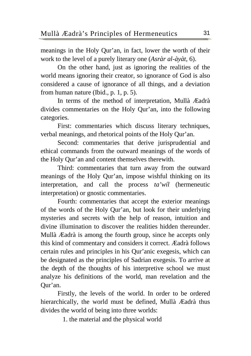Ĭ

meanings in the Holy Qur'an, in fact, lower the worth of their work to the level of a purely literary one (*Asràr al-àyàt,* 6).

On the other hand, just as ignoring the realities of the world means ignoring their creator, so ignorance of God is also considered a cause of ignorance of all things, and a deviation from human nature (Ibid., p. 1, p. 5).

In terms of the method of interpretation, Mullà Æadrà divides commentaries on the Holy Qur'an, into the following categories.

First: commentaries which discuss literary techniques, verbal meanings, and rhetorical points of the Holy Qur'an.

Second: commentaries that derive jurisprudential and ethical commands from the outward meanings of the words of the Holy Qur'an and content themselves therewith.

Third: commentaries that turn away from the outward meanings of the Holy Qur'an, impose wishful thinking on its interpretation, and call the process *ta'wíl* (hermeneutic interpretation) or gnostic commentaries.

Fourth: commentaries that accept the exterior meanings of the words of the Holy Qur'an, but look for their underlying mysteries and secrets with the help of reason, intuition and divine illumination to discover the realities hidden thereunder. Mullà Æadrà is among the fourth group, since he accepts only this kind of commentary and considers it correct. Æadrà follows certain rules and principles in his Qur'anic exegesis, which can be designated as the principles of Sadrian exegesis. To arrive at the depth of the thoughts of his interpretive school we must analyze his definitions of the world, man revelation and the Qur'an.

Firstly, the levels of the world. In order to be ordered hierarchically, the world must be defined, Mullà Æadrà thus divides the world of being into three worlds:

1. the material and the physical world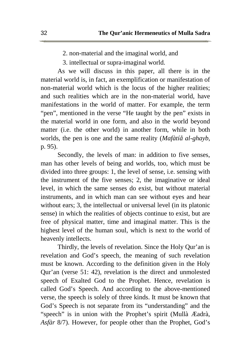- 2. non-material and the imaginal world, and
- 3. intellectual or supra-imaginal world.

As we will discuss in this paper, all there is in the material world is, in fact, an exemplification or manifestation of non-material world which is the locus of the higher realities; and such realities which are in the non-material world, have manifestations in the world of matter. For example, the term "pen", mentioned in the verse "He taught by the pen" exists in the material world in one form, and also in the world beyond matter (i.e. the other world) in another form, while in both worlds, the pen is one and the same reality (*Mafàtíå al-ghayb*, p. 95).

Secondly, the levels of man: in addition to five senses, man has other levels of being and worlds, too, which must be divided into three groups: 1, the level of sense, i.e. sensing with the instrument of the five senses; 2, the imaginative or ideal level, in which the same senses do exist, but without material instruments, and in which man can see without eyes and hear without ears; 3, the intellectual or universal level (in its platonic sense) in which the realities of objects continue to exist, but are free of physical matter, time and imaginal matter. This is the highest level of the human soul, which is next to the world of heavenly intellects.

Thirdly, the levels of revelation. Since the Holy Qur'an is revelation and God's speech, the meaning of such revelation must be known. According to the definition given in the Holy Qur'an (verse 51: 42), revelation is the direct and unmolested speech of Exalted God to the Prophet. Hence, revelation is called God's Speech. And according to the above-mentioned verse, the speech is solely of three kinds. It must be known that God's Speech is not separate from its "understanding" and the "speech" is in union with the Prophet's spirit (Mullà Æadrà, *Asfàr* 8/7). However, for people other than the Prophet, God's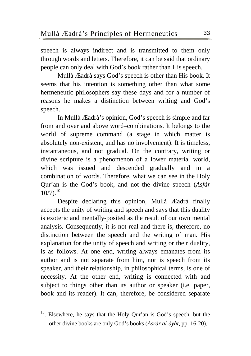Ĭ

 $\overline{a}$ 

speech is always indirect and is transmitted to them only through words and letters. Therefore, it can be said that ordinary people can only deal with God's book rather than His speech.

Mullà Æadrà says God's speech is other than His book. It seems that his intention is something other than what some hermeneutic philosophers say these days and for a number of reasons he makes a distinction between writing and God's speech.

In Mullà Æadrà's opinion, God's speech is simple and far from and over and above word–combinations. It belongs to the world of supreme command (a stage in which matter is absolutely non-existent, and has no involvement). It is timeless, instantaneous, and not gradual. On the contrary, writing or divine scripture is a phenomenon of a lower material world, which was issued and descended gradually and in a combination of words. Therefore, what we can see in the Holy Qur'an is the God's book, and not the divine speech (*Asfàr*   $10/7$ ).<sup>10</sup>

Despite declaring this opinion, Mullà Æadrà finally accepts the unity of writing and speech and says that this duality is exoteric and mentally-posited as the result of our own mental analysis. Consequently, it is not real and there is, therefore, no distinction between the speech and the writing of man. His explanation for the unity of speech and writing or their duality, is as follows. At one end, writing always emanates from its author and is not separate from him, nor is speech from its speaker, and their relationship, in philosophical terms, is one of necessity. At the other end, writing is connected with and subject to things other than its author or speaker (i.e. paper, book and its reader). It can, therefore, be considered separate

 $10$ . Elsewhere, he says that the Holy Qur'an is God's speech, but the other divine books are only God's books (*Asràr al-àyàt*, pp. 16-20).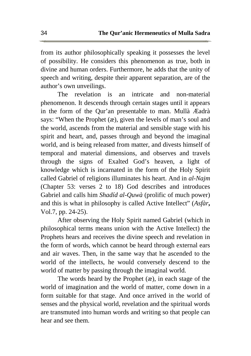from its author philosophically speaking it possesses the level of possibility. He considers this phenomenon as true, both in divine and human orders. Furthermore, he adds that the unity of speech and writing, despite their apparent separation, are of the author's own unveilings.

The revelation is an intricate and non-material phenomenon. It descends through certain stages until it appears in the form of the Qur'an presentable to man. Mullà Æadrà says: "When the Prophet (æ), given the levels of man's soul and the world, ascends from the material and sensible stage with his spirit and heart, and, passes through and beyond the imaginal world, and is being released from matter, and divests himself of temporal and material dimensions, and observes and travels through the signs of Exalted God's heaven, a light of knowledge which is incarnated in the form of the Holy Spirit called Gabriel of religions illuminates his heart. And in *al-Najm* (Chapter 53: verses 2 to 18) God describes and introduces Gabriel and calls him *Shadíd al-Quwà* (prolific of much power) and this is what in philosophy is called Active Intellect" (*Asfàr***,**  Vol.7, pp. 24-25).

After observing the Holy Spirit named Gabriel (which in philosophical terms means union with the Active Intellect) the Prophets hears and receives the divine speech and revelation in the form of words, which cannot be heard through external ears and air waves. Then, in the same way that he ascended to the world of the intellects, he would conversely descend to the world of matter by passing through the imaginal world.

The words heard by the Prophet (æ), in each stage of the world of imagination and the world of matter, come down in a form suitable for that stage. And once arrived in the world of senses and the physical world, revelation and the spiritual words are transmuted into human words and writing so that people can hear and see them.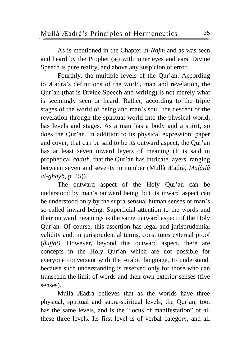As is mentioned in the Chapter *al-Najm* and as was seen and heard by the Prophet (æ) with inner eyes and ears, Divine Speech is pure reality, and above any suspicion of error.

Fourthly, the multiple levels of the Qur'an. According to Æadrà's definitions of the world, man and revelation, the Qur'an (that is Divine Speech and writing) is not merely what is seemingly seen or heard. Rather, according to the triple stages of the world of being and man's soul, the descent of the revelation through the spiritual world into the physical world, has levels and stages. As a man has a body and a spirit, so does the Qur'an. In addition to its physical expression, paper and cover, that can be said to be its outward aspect, the Qur'an has at least seven inward layers of meaning (It is said in prophetical *åadíth*, that the Qur'an has intricate layers, ranging between seven and seventy in number (Mullà Æadrà, *Mafàtíå al-ghayb*, p. 45)).

The outward aspect of the Holy Qur'an can be understood by man's outward being, but its inward aspect can be understood only by the supra-sensual human senses or man's so-called inward being. Superficial attention to the words and their outward meanings is the same outward aspect of the Holy Qur'an. Of course, this assertion has legal and jurisprudential validity and, in jurisprudential terms, constitutes external proof (*åujjat)*. However, beyond this outward aspect, there are concepts in the Holy Qur'an which are not possible for everyone conversant with the Arabic language, to understand, because such understanding is reserved only for those who can transcend the limit of words and their own exterior senses (five senses).

Mullà Æadrà believes that as the worlds have three physical, spiritual and supra-spiritual levels, the Qur'an, too, has the same levels, and is the "locus of manifestation" of all these three levels. Its first level is of verbal category, and all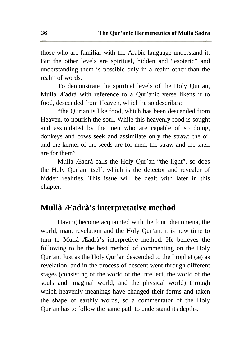those who are familiar with the Arabic language understand it. But the other levels are spiritual, hidden and "esoteric" and understanding them is possible only in a realm other than the realm of words.

To demonstrate the spiritual levels of the Holy Qur'an, Mullà Æadrà with reference to a Qur'anic verse likens it to food, descended from Heaven, which he so describes:

"the Qur'an is like food, which has been descended from Heaven, to nourish the soul. While this heavenly food is sought and assimilated by the men who are capable of so doing, donkeys and cows seek and assimilate only the straw; the oil and the kernel of the seeds are for men, the straw and the shell are for them".

Mullà Æadrà calls the Holy Qur'an "the light", so does the Holy Qur'an itself, which is the detector and revealer of hidden realities. This issue will be dealt with later in this chapter.

#### **Mullà Æadrà's interpretative method**

Having become acquainted with the four phenomena, the world, man, revelation and the Holy Qur'an, it is now time to turn to Mullà Æadrà's interpretive method. He believes the following to be the best method of commenting on the Holy Qur'an. Just as the Holy Qur'an descended to the Prophet (æ) as revelation, and in the process of descent went through different stages (consisting of the world of the intellect, the world of the souls and imaginal world, and the physical world) through which heavenly meanings have changed their forms and taken the shape of earthly words, so a commentator of the Holy Qur'an has to follow the same path to understand its depths.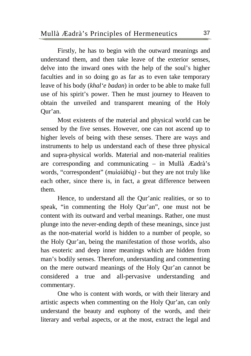Firstly, he has to begin with the outward meanings and understand them, and then take leave of the exterior senses, delve into the inward ones with the help of the soul's higher faculties and in so doing go as far as to even take temporary leave of his body (*khal'e badan*) in order to be able to make full use of his spirit's power. Then he must journey to Heaven to obtain the unveiled and transparent meaning of the Holy Qur'an.

Most existents of the material and physical world can be sensed by the five senses. However, one can not ascend up to higher levels of being with these senses. There are ways and instruments to help us understand each of these three physical and supra-physical worlds. Material and non-material realities are corresponding and communicating – in Mullà Æadrà's words, "correspondent" (*muìaìàbiq)* - but they are not truly like each other, since there is, in fact, a great difference between them.

Hence, to understand all the Qur'anic realities, or so to speak, "in commenting the Holy Qur'an", one must not be content with its outward and verbal meanings. Rather, one must plunge into the never-ending depth of these meanings, since just as the non-material world is hidden to a number of people, so the Holy Qur'an, being the manifestation of those worlds, also has esoteric and deep inner meanings which are hidden from man's bodily senses. Therefore, understanding and commenting on the mere outward meanings of the Holy Qur'an cannot be considered a true and all-pervasive understanding and commentary.

One who is content with words, or with their literary and artistic aspects when commenting on the Holy Qur'an, can only understand the beauty and euphony of the words, and their literary and verbal aspects, or at the most, extract the legal and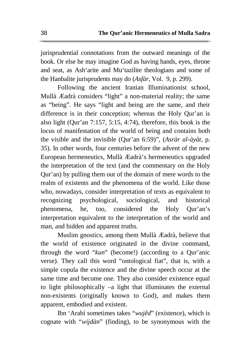jurisprudential connotations from the outward meanings of the book. Or else he may imagine God as having hands, eyes, throne and seat, as Ash'arite and Mu'tazilite theologians and some of the Hanbalite jurisprudents may do (*Asfàr,* Vol. 9, p. 299).

Following the ancient Iranian Illuminationist school, Mullà Æadrà considers "light" a non-material reality; the same as "being". He says "light and being are the same, and their difference is in their conception; whereas the Holy Qur'an is also light (Qur'an 7:157, 5:15, 4:74), therefore, this book is the locus of manifestation of the world of being and contains both the visible and the invisible (Qur'an 6:59)", (*Asràr al-àyàt*, p. 35). In other words, four centuries before the advent of the new European hermeneutics, Mullà Æadrà's hermeneutics upgraded the interpretation of the text (and the commentary on the Holy Qur'an) by pulling them out of the domain of mere words to the realm of existents and the phenomena of the world. Like those who, nowadays, consider interpretation of texts as equivalent to recognizing psychological, sociological, and historical phenomena, he, too, considered the Holy Qur'an's interpretation equivalent to the interpretation of the world and man, and hidden and apparent truths.

Muslim gnostics, among them Mullà Æadrà, believe that the world of existence originated in the divine command, through the word "*kun*" (become!) (according to a Qur'anic verse). They call this word "ontological fiat", that is, with a simple copula the existence and the divine speech occur at the same time and become one. They also consider existence equal to light philosophically –a light that illuminates the external non-existents (originally known to God), and makes them apparent, embodied and existent.

Ibn 'Arabí sometimes takes "*wujêd*" (existence), which is cognate with "*wijdàn*" (finding), to be synonymous with the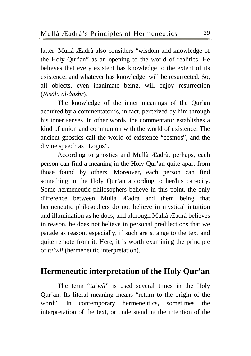latter. Mullà Æadrà also considers "wisdom and knowledge of the Holy Qur'an" as an opening to the world of realities. He believes that every existent has knowledge to the extent of its existence; and whatever has knowledge, will be resurrected. So, all objects, even inanimate being, will enjoy resurrection (*Risàla al-åashr*).

The knowledge of the inner meanings of the Qur'an acquired by a commentator is, in fact, perceived by him through his inner senses. In other words, the commentator establishes a kind of union and communion with the world of existence. The ancient gnostics call the world of existence "cosmos", and the divine speech as "Logos".

According to gnostics and Mullà Æadrà, perhaps, each person can find a meaning in the Holy Qur'an quite apart from those found by others. Moreover, each person can find something in the Holy Qur'an according to her/his capacity. Some hermeneutic philosophers believe in this point, the only difference between Mullà Æadrà and them being that hermeneutic philosophers do not believe in mystical intuition and illumination as he does; and although Mullà Æadrà believes in reason, he does not believe in personal predilections that we parade as reason, especially, if such are strange to the text and quite remote from it. Here, it is worth examining the principle of *ta'wíl* (hermeneutic interpretation).

#### **Hermeneutic interpretation of the Holy Qur'an**

The term "*ta'wíl*" is used several times in the Holy Qur'an. Its literal meaning means "return to the origin of the word". In contemporary hermeneutics, sometimes the interpretation of the text, or understanding the intention of the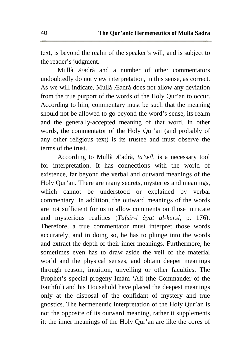text, is beyond the realm of the speaker's will, and is subject to the reader's judgment.

Mullà Æadrà and a number of other commentators undoubtedly do not view interpretation, in this sense, as correct. As we will indicate, Mullà Æadrà does not allow any deviation from the true purport of the words of the Holy Qur'an to occur. According to him, commentary must be such that the meaning should not be allowed to go beyond the word's sense, its realm and the generally-accepted meaning of that word. In other words, the commentator of the Holy Qur'an (and probably of any other religious text) is its trustee and must observe the terms of the trust.

According to Mullà Æadrà, *ta'wíl*, is a necessary tool for interpretation. It has connections with the world of existence, far beyond the verbal and outward meanings of the Holy Qur'an. There are many secrets, mysteries and meanings, which cannot be understood or explained by verbal commentary. In addition, the outward meanings of the words are not sufficient for us to allow comments on those intricate and mysterious realities (*Tafsír-i àyat al-kursí*, p. 176). Therefore, a true commentator must interpret those words accurately, and in doing so, he has to plunge into the words and extract the depth of their inner meanings. Furthermore, he sometimes even has to draw aside the veil of the material world and the physical senses, and obtain deeper meanings through reason, intuition, unveiling or other faculties. The Prophet's special progeny Imàm 'Alí (the Commander of the Faithful) and his Household have placed the deepest meanings only at the disposal of the confidant of mystery and true gnostics. The hermeneutic interpretation of the Holy Qur'an is not the opposite of its outward meaning, rather it supplements it: the inner meanings of the Holy Qur'an are like the cores of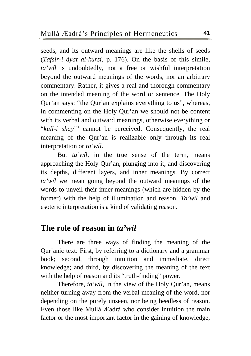seeds, and its outward meanings are like the shells of seeds (*Tafsír-i àyat al-kursí*, p. 176). On the basis of this simile, *ta'wíl* is undoubtedly, not a free or wishful interpretation beyond the outward meanings of the words, nor an arbitrary commentary. Rather, it gives a real and thorough commentary on the intended meaning of the word or sentence. The Holy Qur'an says: "the Qur'an explains everything to us", whereas, in commenting on the Holy Qur'an we should not be content with its verbal and outward meanings, otherwise everything or "*kull-i shay*'" cannot be perceived. Consequently, the real meaning of the Qur'an is realizable only through its real interpretation or *ta'wíl*.

But *ta'wíl*, in the true sense of the term, means approaching the Holy Qur'an, plunging into it, and discovering its depths, different layers, and inner meanings. By correct *ta'wíl* we mean going beyond the outward meanings of the words to unveil their inner meanings (which are hidden by the former) with the help of illumination and reason. *Ta'wíl* and esoteric interpretation is a kind of validating reason.

#### **The role of reason in** *ta'wíl*

There are three ways of finding the meaning of the Qur'anic text: First, by referring to a dictionary and a grammar book; second, through intuition and immediate, direct knowledge; and third, by discovering the meaning of the text with the help of reason and its "truth-finding" power.

Therefore, *ta'wíl*, in the view of the Holy Qur'an, means neither turning away from the verbal meaning of the word, nor depending on the purely unseen, nor being heedless of reason. Even those like Mullà Æadrà who consider intuition the main factor or the most important factor in the gaining of knowledge,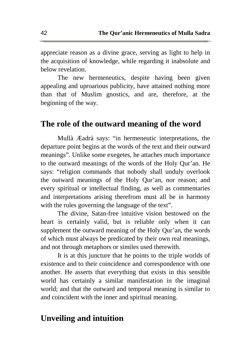appreciate reason as a divine grace, serving as light to help in the acquisition of knowledge, while regarding it inabsolute and below revelation.

The new hermeneutics, despite having been given appealing and uproarious publicity, have attained nothing more than that of Muslim gnostics, and are, therefore, at the beginning of the way.

#### **The role of the outward meaning of the word**

Mullà Æadrà says: "in hermeneutic interpretations, the departure point begins at the words of the text and their outward meanings". Unlike some exegetes, he attaches much importance to the outward meanings of the words of the Holy Qur'an. He says: "religion commands that nobody shall unduly overlook the outward meanings of the Holy Qur'an, nor reason; and every spiritual or intellectual finding, as well as commentaries and interpretations arising therefrom must all be in harmony with the rules governing the language of the text".

The divine, Satan-free intuitive vision bestowed on the heart is certainly valid, but is reliable only when it can supplement the outward meaning of the Holy Qur'an, the words of which must always be predicated by their own real meanings, and not through metaphors or similes used therewith.

It is at this juncture that he points to the triple worlds of existence and to their coincidence and correspondence with one another. He asserts that everything that exists in this sensible world has certainly a similar manifestation in the imaginal world; and that the outward and temporal meaning is similar to and coincident with the inner and spiritual meaning.

#### **Unveiling and intuition**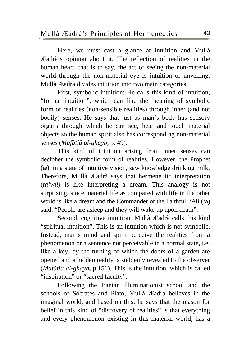Here, we must cast a glance at intuition and Mullà Æadrà's opinion about it. The reflection of realities in the human heart, that is to say, the act of seeing the non-material world through the non-material eye is intuition or unveiling. Mullà Æadrà divides intuition into two main categories.

First, symbolic intuition: He calls this kind of intuition, "formal intuition", which can find the meaning of symbolic form of realities (non-sensible realities) through inner (and not bodily) senses. He says that just as man's body has sensory organs through which he can see, hear and touch material objects so the human spirit also has corresponding non-material senses (*Mafàtíå al-ghayb*, p. 49).

This kind of intuition arising from inner senses can decipher the symbolic form of realities. However, the Prophet (æ), in a state of intuitive vision, saw knowledge drinking milk. Therefore, Mullà Æadrà says that hermeneutic interpretation (*ta'wíl)* is like interpreting a dream. This analogy is not surprising, since material life as compared with life in the other world is like a dream and the Commander of the Faithful, 'Alí ('a) said: "People are asleep and they will wake up upon death".

Second, cognitive intuition: Mullà Æadrà calls this kind "spiritual intuition". This is an intuition which is not symbolic. Instead, man's mind and spirit perceive the realities from a phenomenon or a sentence not perceivable in a normal state, i.e. like a key, by the turning of which the doors of a garden are opened and a hidden reality is suddenly revealed to the observer (*Mafàtiå al-ghayb***,** p.151). This is the intuition, which is called "inspiration" or "sacred faculty".

Following the Iranian Illuminationist school and the schools of Socrates and Plato, Mullà Æadrà believes in the imaginal world, and based on this, he says that the reason for belief in this kind of "discovery of realities" is that everything and every phenomenon existing in this material world, has a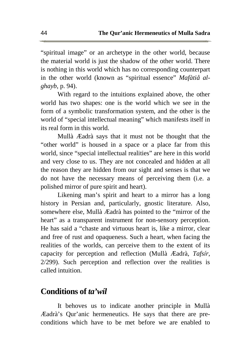"spiritual image" or an archetype in the other world, because the material world is just the shadow of the other world. There is nothing in this world which has no corresponding counterpart in the other world (known as "spiritual essence" *Mafàtiå alghayb*, p. 94).

With regard to the intuitions explained above, the other world has two shapes: one is the world which we see in the form of a symbolic transformation system, and the other is the world of "special intellectual meaning" which manifests itself in its real form in this world.

Mullà Æadrà says that it must not be thought that the "other world" is housed in a space or a place far from this world, since "special intellectual realities" are here in this world and very close to us. They are not concealed and hidden at all the reason they are hidden from our sight and senses is that we do not have the necessary means of perceiving them (i.e. a polished mirror of pure spirit and heart).

Likening man's spirit and heart to a mirror has a long history in Persian and, particularly, gnostic literature. Also, somewhere else, Mullà Æadrà has pointed to the "mirror of the heart" as a transparent instrument for non-sensory perception. He has said a "chaste and virtuous heart is, like a mirror, clear and free of rust and opaqueness. Such a heart, when facing the realities of the worlds, can perceive them to the extent of its capacity for perception and reflection (Mullà Æadrà, *Tafsír*, 2/299). Such perception and reflection over the realities is called intuition.

#### **Conditions of** *ta'wíl*

It behoves us to indicate another principle in Mullà Æadrà's Qur'anic hermeneutics. He says that there are preconditions which have to be met before we are enabled to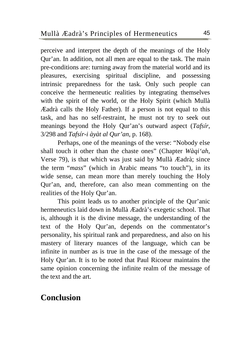perceive and interpret the depth of the meanings of the Holy Qur'an. In addition, not all men are equal to the task. The main pre-conditions are: turning away from the material world and its pleasures, exercising spiritual discipline, and possessing intrinsic preparedness for the task. Only such people can conceive the hermeneutic realities by integrating themselves with the spirit of the world, or the Holy Spirit (which Mullà Æadrà calls the Holy Father). If a person is not equal to this task, and has no self-restraint, he must not try to seek out meanings beyond the Holy Qur'an's outward aspect (*Tafsír*, 3/298 and *Tafsír-i àyàt al Qur'an*, p. 168).

Perhaps, one of the meanings of the verse: "Nobody else shall touch it other than the chaste ones" (Chapter *Wàqi'ah*, Verse 79), is that which was just said by Mullà Æadrà; since the term "*mass*" (which in Arabic means "to touch"), in its wide sense, can mean more than merely touching the Holy Qur'an, and, therefore, can also mean commenting on the realities of the Holy Qur'an.

This point leads us to another principle of the Qur'anic hermeneutics laid down in Mullà Æadrà's exegetic school. That is, although it is the divine message, the understanding of the text of the Holy Qur'an, depends on the commentator's personality, his spiritual rank and preparedness, and also on his mastery of literary nuances of the language, which can be infinite in number as is true in the case of the message of the Holy Qur'an. It is to be noted that Paul Ricoeur maintains the same opinion concerning the infinite realm of the message of the text and the art.

#### **Conclusion**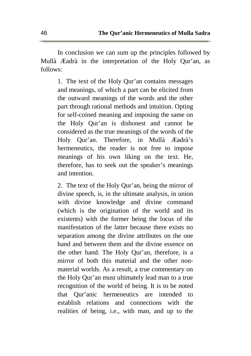In conclusion we can sum up the principles followed by Mullà Æadrà in the interpretation of the Holy Qur'an, as follows:

1. The text of the Holy Qur'an contains messages and meanings, of which a part can be elicited from the outward meanings of the words and the other part through rational methods and intuition. Opting for self-coined meaning and imposing the same on the Holy Qur'an is dishonest and cannot be considered as the true meanings of the words of the Holy Qur'an. Therefore, in Mullà Æadrà's hermeneutics, the reader is not free to impose meanings of his own liking on the text. He, therefore, has to seek out the speaker's meanings and intention.

2. The text of the Holy Qur'an, being the mirror of divine speech, is, in the ultimate analysis, in union with divine knowledge and divine command (which is the origination of the world and its existents) with the former being the locus of the manifestation of the latter because there exists no separation among the divine attributes on the one hand and between them and the divine essence on the other hand. The Holy Qur'an, therefore, is a mirror of both this material and the other nonmaterial worlds. As a result, a true commentary on the Holy Qur'an must ultimately lead man to a true recognition of the world of being. It is to be noted that Qur'anic hermeneutics are intended to establish relations and connections with the realities of being, i.e., with man, and up to the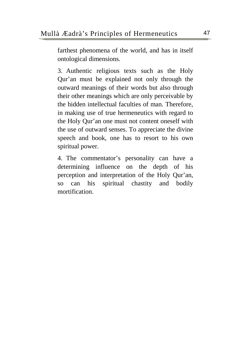farthest phenomena of the world, and has in itself ontological dimensions.

3. Authentic religious texts such as the Holy Qur'an must be explained not only through the outward meanings of their words but also through their other meanings which are only perceivable by the hidden intellectual faculties of man. Therefore, in making use of true hermeneutics with regard to the Holy Qur'an one must not content oneself with the use of outward senses. To appreciate the divine speech and book, one has to resort to his own spiritual power.

4. The commentator's personality can have a determining influence on the depth of his perception and interpretation of the Holy Qur'an, so can his spiritual chastity and bodily mortification.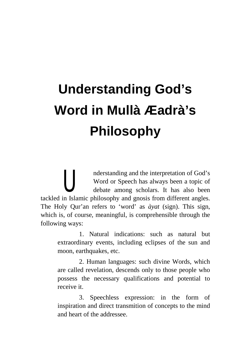# **Understanding God's Word in Mullà Æadrà's Philosophy**

nderstanding and the interpretation of God's Word or Speech has always been a topic of debate among scholars. It has also been tackled in Islamic philosophy and gnosis from different angles. The Holy Qur'an refers to 'word' as *àyat* (sign). This sign, which is, of course, meaningful, is comprehensible through the following ways: **U** 

1. Natural indications: such as natural but extraordinary events, including eclipses of the sun and moon, earthquakes, etc.

2. Human languages: such divine Words, which are called revelation, descends only to those people who possess the necessary qualifications and potential to receive it.

3. Speechless expression: in the form of inspiration and direct transmition of concepts to the mind and heart of the addressee.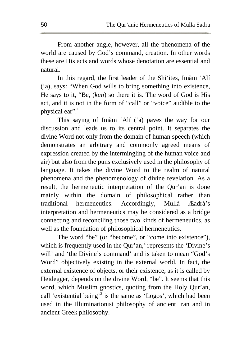From another angle, however, all the phenomena of the world are caused by God's command, creation. In other words these are His acts and words whose denotation are essential and natural.

In this regard, the first leader of the Shi'ites, Imàm 'Alí ('a), says: "When God wills to bring something into existence, He says to it, "Be, (*kun*) so there it is. The word of God is His act, and it is not in the form of "call" or "voice" audible to the physical ear".<sup>1</sup>

This saying of Imàm 'Alí ('a) paves the way for our discussion and leads us to its central point. It separates the divine Word not only from the domain of human speech (which demonstrates an arbitrary and commonly agreed means of expression created by the intermingling of the human voice and air) but also from the puns exclusively used in the philosophy of language. It takes the divine Word to the realm of natural phenomena and the phenomenology of divine revelation. As a result, the hermeneutic interpretation of the Qur'an is done mainly within the domain of philosophical rather than traditional hermeneutics. Accordingly, Mullà Æadrà's interpretation and hermeneutics may be considered as a bridge connecting and reconciling those two kinds of hermeneutics, as well as the foundation of philosophical hermeneutics.

The word "be" (or "become", or "come into existence"), which is frequently used in the Qur'an, $<sup>2</sup>$  represents the 'Divine's</sup> will' and 'the Divine's command' and is taken to mean "God's Word" objectively existing in the external world. In fact, the external existence of objects, or their existence, as it is called by Heidegger, depends on the divine Word, "be". It seems that this word, which Muslim gnostics, quoting from the Holy Qur'an, call 'existential being'<sup>3</sup> is the same as 'Logos', which had been used in the Illuminationist philosophy of ancient Iran and in ancient Greek philosophy.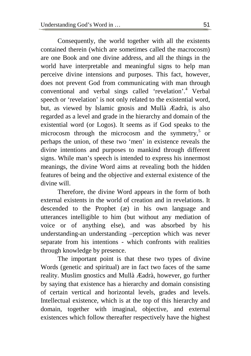Consequently, the world together with all the existents contained therein (which are sometimes called the macrocosm) are one Book and one divine address, and all the things in the world have interpretable and meaningful signs to help man perceive divine intensions and purposes. This fact, however, does not prevent God from communicating with man through conventional and verbal sings called 'revelation'.<sup>4</sup> Verbal speech or 'revelation' is not only related to the existential word, but, as viewed by Islamic gnosis and Mullà Æadrà, is also regarded as a level and grade in the hierarchy and domain of the existential word (or Logos). It seems as if God speaks to the microcosm through the microcosm and the symmetry, 5 or perhaps the union, of these two 'men' in existence reveals the divine intentions and purposes to mankind through different signs. While man's speech is intended to express his innermost meanings, the divine Word aims at revealing both the hidden features of being and the objective and external existence of the divine will.

Therefore, the divine Word appears in the form of both external existents in the world of creation and in revelations. It descended to the Prophet (æ) in his own language and utterances intelligible to him (but without any mediation of voice or of anything else), and was absorbed by his understanding-an understanding –perception which was never separate from his intentions - which confronts with realities through knowledge by presence.

The important point is that these two types of divine Words (genetic and spiritual) are in fact two faces of the same reality. Muslim gnostics and Mullà Æadrà, however, go further by saying that existence has a hierarchy and domain consisting of certain vertical and horizontal levels, grades and levels. Intellectual existence, which is at the top of this hierarchy and domain, together with imaginal, objective, and external existences which follow thereafter respectively have the highest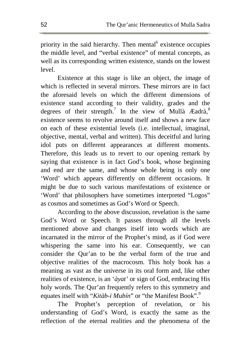priority in the said hierarchy. Then mental<sup>6</sup> existence occupies the middle level, and "verbal existence" of mental concepts, as well as its corresponding written existence, stands on the lowest level.

Existence at this stage is like an object, the image of which is reflected in several mirrors. These mirrors are in fact the aforesaid levels on which the different dimensions of existence stand according to their validity, grades and the degrees of their strength.<sup>7</sup> In the view of Mullà Æadrà,<sup>8</sup> existence seems to revolve around itself and shows a new face on each of these existential levels (i.e. intellectual, imaginal, objective, mental, verbal and written). This deceitful and luring idol puts on different appearances at different moments. Therefore, this leads us to revert to our opening remark by saying that existence is in fact God's book, whose beginning and end are the same, and whose whole being is only one 'Word' which appears differently on different occasions. It might be due to such various manifestations of existence or 'Word' that philosophers have sometimes interpreted "Logos" as cosmos and sometimes as God's Word or Speech.

According to the above discussion, revelation is the same God's Word or Speech. It passes through all the levels mentioned above and changes itself into words which are incarnated in the mirror of the Prophet's mind, as if God were whispering the same into his ear. Consequently, we can consider the Qur'an to be the verbal form of the true and objective realities of the macrocosm. This holy book has a meaning as vast as the universe in its oral form and, like other realities of existence, is an '*àyat'* or sign of God, embracing His holy words. The Qur'an frequently refers to this symmetry and equates itself with "*Kitàb-i Mubín*" or "the Manifest Book".<sup>9</sup>

The Prophet's perception of revelation, or his understanding of God's Word, is exactly the same as the reflection of the eternal realities and the phenomena of the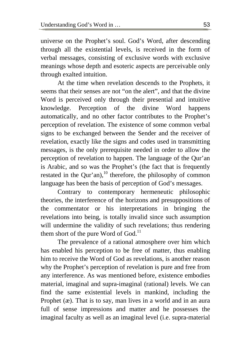universe on the Prophet's soul. God's Word, after descending through all the existential levels, is received in the form of verbal messages, consisting of exclusive words with exclusive meanings whose depth and esoteric aspects are perceivable only through exalted intuition.

At the time when revelation descends to the Prophets, it seems that their senses are not "on the alert", and that the divine Word is perceived only through their presential and intuitive knowledge. Perception of the divine Word happens automatically, and no other factor contributes to the Prophet's perception of revelation. The existence of some common verbal signs to be exchanged between the Sender and the receiver of revelation, exactly like the signs and codes used in transmitting messages, is the only prerequisite needed in order to allow the perception of revelation to happen. The language of the Qur'an is Arabic, and so was the Prophet's (the fact that is frequently restated in the Our'an),<sup>10</sup> therefore, the philosophy of common language has been the basis of perception of God's messages.

Contrary to contemporary hermeneutic philosophic theories, the interference of the horizons and presuppositions of the commentator or his interpretations in bringing the revelations into being, is totally invalid since such assumption will undermine the validity of such revelations; thus rendering them short of the pure Word of God.<sup>11</sup>

The prevalence of a rational atmosphere over him which has enabled his perception to be free of matter, thus enabling him to receive the Word of God as revelations, is another reason why the Prophet's perception of revelation is pure and free from any interference. As was mentioned before, existence embodies material, imaginal and supra-imaginal (rational) levels. We can find the same existential levels in mankind, including the Prophet ( $x$ ). That is to say, man lives in a world and in an aura full of sense impressions and matter and he possesses the imaginal faculty as well as an imaginal level (i.e. supra-material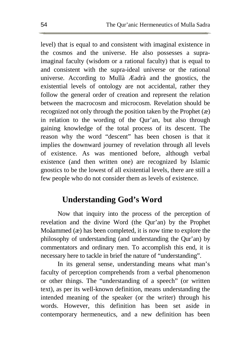level) that is equal to and consistent with imaginal existence in the cosmos and the universe. He also possesses a supraimaginal faculty (wisdom or a rational faculty) that is equal to and consistent with the supra-ideal universe or the rational universe. According to Mullà Æadrà and the gnostics, the existential levels of ontology are not accidental, rather they follow the general order of creation and represent the relation between the macrocosm and microcosm. Revelation should be recognized not only through the position taken by the Prophet (æ) in relation to the wording of the Qur'an, but also through gaining knowledge of the total process of its descent. The reason why the word "descent" has been chosen is that it implies the downward journey of revelation through all levels of existence. As was mentioned before, although verbal existence (and then written one) are recognized by Islamic gnostics to be the lowest of all existential levels, there are still a few people who do not consider them as levels of existence.

#### **Understanding God's Word**

Now that inquiry into the process of the perception of revelation and the divine Word (the Qur'an) by the Prophet Moåammed (æ) has been completed, it is now time to explore the philosophy of understanding (and understanding the Qur'an) by commentators and ordinary men. To accomplish this end, it is necessary here to tackle in brief the nature of "understanding".

In its general sense, understanding means what man's faculty of perception comprehends from a verbal phenomenon or other things. The "understanding of a speech" (or written text), as per its well-known definition, means understanding the intended meaning of the speaker (or the writer) through his words. However, this definition has been set aside in contemporary hermeneutics, and a new definition has been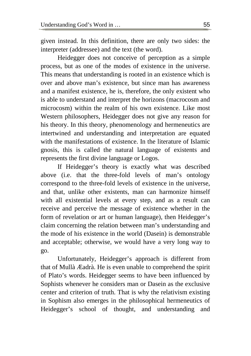given instead. In this definition, there are only two sides: the interpreter (addressee) and the text (the word).

Heidegger does not conceive of perception as a simple process, but as one of the modes of existence in the universe. This means that understanding is rooted in an existence which is over and above man's existence, but since man has awareness and a manifest existence, he is, therefore, the only existent who is able to understand and interpret the horizons (macrocosm and microcosm) within the realm of his own existence. Like most Western philosophers, Heidegger does not give any reason for his theory. In this theory, phenomenology and hermeneutics are intertwined and understanding and interpretation are equated with the manifestations of existence. In the literature of Islamic gnosis, this is called the natural language of existents and represents the first divine language or Logos.

If Heidegger's theory is exactly what was described above (i.e. that the three-fold levels of man's ontology correspond to the three-fold levels of existence in the universe, and that, unlike other existents, man can harmonize himself with all existential levels at every step, and as a result can receive and perceive the message of existence whether in the form of revelation or art or human language), then Heidegger's claim concerning the relation between man's understanding and the mode of his existence in the world (Dasein) is demonstrable and acceptable; otherwise, we would have a very long way to go.

Unfortunately, Heidegger's approach is different from that of Mullà Æadrà. He is even unable to comprehend the spirit of Plato's words. Heidegger seems to have been influenced by Sophists whenever he considers man or Dasein as the exclusive center and criterion of truth. That is why the relativism existing in Sophism also emerges in the philosophical hermeneutics of Heidegger's school of thought, and understanding and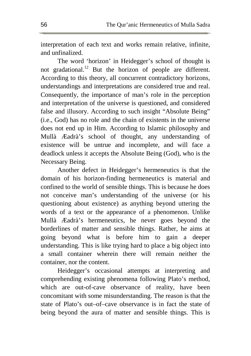interpretation of each text and works remain relative, infinite, and unfinalized.

The word 'horizon' in Heidegger's school of thought is not gradational.<sup>12</sup> But the horizon of people are different. According to this theory, all concurrent contradictory horizons, understandings and interpretations are considered true and real. Consequently, the importance of man's role in the perception and interpretation of the universe is questioned, and considered false and illusory. According to such insight "Absolute Being" (i.e., God) has no role and the chain of existents in the universe does not end up in Him. According to Islamic philosophy and Mullà Æadrà's school of thought, any understanding of existence will be untrue and incomplete, and will face a deadlock unless it accepts the Absolute Being (God), who is the Necessary Being.

Another defect in Heidegger's hermeneutics is that the domain of his horizon-finding hermeneutics is material and confined to the world of sensible things. This is because he does not conceive man's understanding of the universe (or his questioning about existence) as anything beyond uttering the words of a text or the appearance of a phenomenon. Unlike Mullà Æadrà's hermeneutics, he never goes beyond the borderlines of matter and sensible things. Rather, he aims at going beyond what is before him to gain a deeper understanding. This is like trying hard to place a big object into a small container wherein there will remain neither the container, nor the content.

Heidegger's occasional attempts at interpreting and comprehending existing phenomena following Plato's method, which are out-of-cave observance of reality, have been concomitant with some misunderstanding. The reason is that the state of Plato's out–of–cave observance is in fact the state of being beyond the aura of matter and sensible things. This is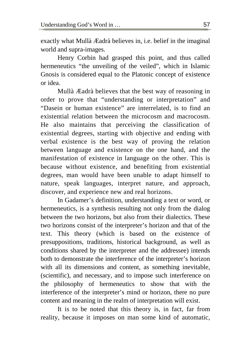exactly what Mullà Æadrà believes in, i.e. belief in the imaginal world and supra-images.

Henry Corbin had grasped this point, and thus called hermeneutics "the unveiling of the veiled", which in Islamic Gnosis is considered equal to the Platonic concept of existence or idea.

Mullà Æadrà believes that the best way of reasoning in order to prove that "understanding or interpretation" and "Dasein or human existence" are interrelated, is to find an existential relation between the microcosm and macrocosm. He also maintains that perceiving the classification of existential degrees, starting with objective and ending with verbal existence is the best way of proving the relation between language and existence on the one hand, and the manifestation of existence in language on the other. This is because without existence, and benefiting from existential degrees, man would have been unable to adapt himself to nature, speak languages, interpret nature, and approach, discover, and experience new and real horizons.

In Gadamer's definition, understanding a text or word, or hermeneutics, is a synthesis resulting not only from the dialog between the two horizons, but also from their dialectics. These two horizons consist of the interpreter's horizon and that of the text. This theory (which is based on the existence of presuppositions, traditions, historical background, as well as conditions shared by the interpreter and the addressee) intends both to demonstrate the interference of the interpreter's horizon with all its dimensions and content, as something inevitable, (scientific), and necessary, and to impose such interference on the philosophy of hermeneutics to show that with the interference of the interpreter's mind or horizon, there no pure content and meaning in the realm of interpretation will exist.

It is to be noted that this theory is, in fact, far from reality, because it imposes on man some kind of automatic,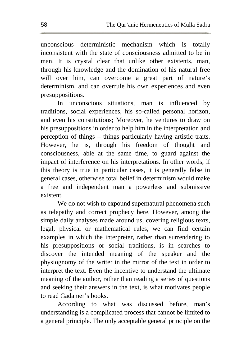unconscious deterministic mechanism which is totally inconsistent with the state of consciousness admitted to be in man. It is crystal clear that unlike other existents, man, through his knowledge and the domination of his natural free will over him, can overcome a great part of nature's determinism, and can overrule his own experiences and even presuppositions.

In unconscious situations, man is influenced by traditions, social experiences, his so-called personal horizon, and even his constitutions; Moreover, he ventures to draw on his presuppositions in order to help him in the interpretation and perception of things – things particularly having artistic traits. However, he is, through his freedom of thought and consciousness, able at the same time, to guard against the impact of interference on his interpretations. In other words, if this theory is true in particular cases, it is generally false in general cases, otherwise total belief in determinism would make a free and independent man a powerless and submissive existent.

We do not wish to expound supernatural phenomena such as telepathy and correct prophecy here. However, among the simple daily analyses made around us, covering religious texts, legal, physical or mathematical rules, we can find certain examples in which the interpreter, rather than surrendering to his presuppositions or social traditions, is in searches to discover the intended meaning of the speaker and the physiognomy of the writer in the mirror of the text in order to interpret the text. Even the incentive to understand the ultimate meaning of the author, rather than reading a series of questions and seeking their answers in the text, is what motivates people to read Gadamer's books.

According to what was discussed before, man's understanding is a complicated process that cannot be limited to a general principle. The only acceptable general principle on the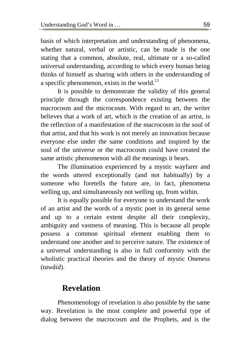basis of which interpretation and understanding of phenomena, whether natural, verbal or artistic, can be made is the one stating that a common, absolute, real, ultimate or a so-called universal understanding, according to which every human being thinks of himself as sharing with others in the understanding of a specific phenomenon, exists in the world. $^{13}$ 

It is possible to demonstrate the validity of this general principle through the correspondence existing between the macrocosm and the microcosm. With regard to art, the writer believes that a work of art, which is the creation of an artist, is the reflection of a manifestation of the macrocosm in the soul of that artist, and that his work is not merely an innovation because everyone else under the same conditions and inspired by the soul of the universe or the macrocosm could have created the same artistic phenomenon with all the meanings it bears.

The illumination experienced by a mystic wayfarer and the words uttered exceptionally (and not habitually) by a someone who foretells the future are, in fact, phenomena welling up, and simultaneously not welling up, from within.

It is equally possible for everyone to understand the work of an artist and the words of a mystic poet in its general sense and up to a certain extent despite all their complexity, ambiguity and vastness of meaning. This is because all people possess a common spiritual element enabling them to understand one another and to perceive nature. The existence of a universal understanding is also in full conformity with the wholistic practical theories and the theory of mystic Oneness (*tawåíd*).

#### **Revelation**

Phenomenology of revelation is also possible by the same way. Revelation is the most complete and powerful type of dialog between the macrocosm and the Prophets, and is the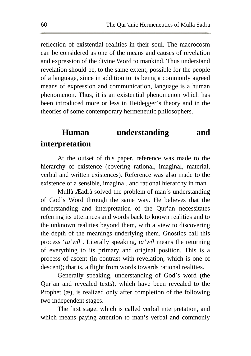reflection of existential realities in their soul. The macrocosm can be considered as one of the means and causes of revelation and expression of the divine Word to mankind. Thus understand revelation should be, to the same extent, possible for the people of a language, since in addition to its being a commonly agreed means of expression and communication, language is a human phenomenon. Thus, it is an existential phenomenon which has been introduced more or less in Heidegger's theory and in the theories of some contemporary hermeneutic philosophers.

### **Human understanding and interpretation**

At the outset of this paper, reference was made to the hierarchy of existence (covering rational, imaginal, material, verbal and written existences). Reference was also made to the existence of a sensible, imaginal, and rational hierarchy in man.

Mullà Æadrà solved the problem of man's understanding of God's Word through the same way. He believes that the understanding and interpretation of the Qur'an necessitates referring its utterances and words back to known realities and to the unknown realities beyond them, with a view to discovering the depth of the meanings underlying them. Gnostics call this process '*ta'wíl'*. Literally speaking, *ta'wíl* means the returning of everything to its primary and original position. This is a process of ascent (in contrast with revelation, which is one of descent); that is, a flight from words towards rational realities.

Generally speaking, understanding of God's word (the Qur'an and revealed texts), which have been revealed to the Prophet (æ), is realized only after completion of the following two independent stages.

The first stage, which is called verbal interpretation, and which means paying attention to man's verbal and commonly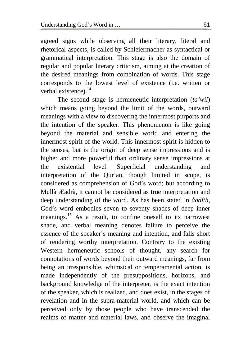agreed signs while observing all their literary, literal and rhetorical aspects, is called by Schleiermacher as syntactical or grammatical interpretation. This stage is also the domain of regular and popular literary criticism, aiming at the creation of the desired meanings from combination of words. This stage corresponds to the lowest level of existence (i.e. written or verbal existence).<sup>14</sup>

The second stage is hermeneutic interpretation (*ta'wíl*) which means going beyond the limit of the words, outward meanings with a view to discovering the innermost purports and the intention of the speaker. This phenomenon is like going beyond the material and sensible world and entering the innermost spirit of the world. This innermost spirit is hidden to the senses, but is the origin of deep sense impressions and is higher and more powerful than ordinary sense impressions at the existential level. Superficial understanding and interpretation of the Qur'an, though limited in scope, is considered as comprehension of God's word; but according to Mullà Æadrà, it cannot be considered as true interpretation and deep understanding of the word. As has been stated in *åadíth*, God's word embodies seven to seventy shades of deep inner meanings.<sup>15</sup> As a result, to confine oneself to its narrowest shade, and verbal meaning denotes failure to perceive the essence of the speaker's meaning and intention, and falls short of rendering worthy interpretation. Contrary to the existing Western hermeneutic schools of thought, any search for connotations of words beyond their outward meanings, far from being an irresponsible, whimsical or temperamental action, is made independently of the presuppositions, horizons, and background knowledge of the interpreter, is the exact intention of the speaker, which is realized, and does exist, in the stages of revelation and in the supra-material world, and which can be perceived only by those people who have transcended the realms of matter and material laws, and observe the imaginal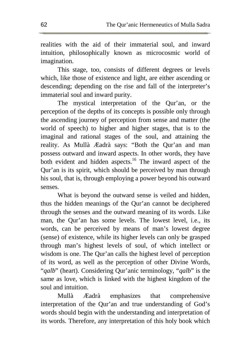realities with the aid of their immaterial soul, and inward intuition, philosophically known as microcosmic world of imagination.

This stage, too, consists of different degrees or levels which, like those of existence and light, are either ascending or descending; depending on the rise and fall of the interpreter's immaterial soul and inward purity.

The mystical interpretation of the Qur'an, or the perception of the depths of its concepts is possible only through the ascending journey of perception from sense and matter (the world of speech) to higher and higher stages, that is to the imaginal and rational stages of the soul, and attaining the reality. As Mullà Æadrà says: "Both the Qur'an and man possess outward and inward aspects. In other words, they have both evident and hidden aspects.<sup>16</sup> The inward aspect of the Qur'an is its spirit, which should be perceived by man through his soul, that is, through employing a power beyond his outward senses.

What is beyond the outward sense is veiled and hidden, thus the hidden meanings of the Qur'an cannot be deciphered through the senses and the outward meaning of its words. Like man, the Qur'an has some levels. The lowest level, i.e., its words, can be perceived by means of man's lowest degree (sense) of existence, while its higher levels can only be grasped through man's highest levels of soul, of which intellect or wisdom is one. The Qur'an calls the highest level of perception of its word, as well as the perception of other Divine Words, "*qalb*" (heart). Considering Qur'anic terminology, "*qalb*" is the same as love, which is linked with the highest kingdom of the soul and intuition.

Mullà Æadrà emphasizes that comprehensive interpretation of the Qur'an and true understanding of God's words should begin with the understanding and interpretation of its words. Therefore, any interpretation of this holy book which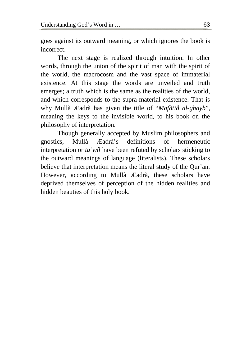goes against its outward meaning, or which ignores the book is incorrect.

The next stage is realized through intuition. In other words, through the union of the spirit of man with the spirit of the world, the macrocosm and the vast space of immaterial existence. At this stage the words are unveiled and truth emerges; a truth which is the same as the realities of the world, and which corresponds to the supra-material existence. That is why Mullà Æadrà has given the title of "*Mafàtiå al-ghayb*", meaning the keys to the invisible world, to his book on the philosophy of interpretation.

Though generally accepted by Muslim philosophers and gnostics, Mullà Æadrà's definitions of hermeneutic interpretation or *ta'wíl* have been refuted by scholars sticking to the outward meanings of language (literalists). These scholars believe that interpretation means the literal study of the Qur'an. However, according to Mullà Æadrà, these scholars have deprived themselves of perception of the hidden realities and hidden beauties of this holy book.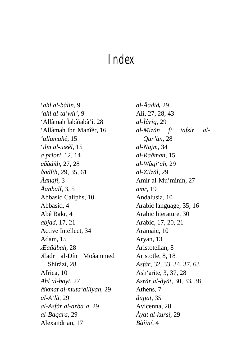## *Index*

'*ahl al-bàìin*, 9 *'ahl al-ta'wíl'*, 9 'Allàmah Ìabàìabà'í, 28 'Allàmah Ibn Manîêr, 16 *'allamahê*, 15 '*ilm al-uæêl*, 15 *a priori*, 12, 14 *aåàdíth*, 27, 28 *åadíth*, 29, 35, 61 *Åanafí*, 3 *Åanbalí*, 3, 5 Abbasid Caliphs, 10 Abbasid, 4 Abê Bakr, 4 *abjad*, 17, 21 Active Intellect, 34 Adam, 15 *Æaåàbah*, 28 Æadr al-Dín Moåammed Shíràzí, 28 Africa, 10 *Ahl al-bayt*, 27 *åikmat al-muta'alliyah*, 29 *al-A'là*, 29 *al-Asfàr al-arba'a*, 29 *al-Baqara*, 29 Alexandrian, 17

*al-Åadíd,* 29 Alí, 27, 28, 43 *al-Ìàriq*, 29 *al-Mízàn fi tafsír al-Qur'àn*, 28 *al-Najm*, 34 *al-Raåmàn*, 15 *al-Wàqi'ah*, 29 *al-Zilzàl*, 29 Amír al-Mu'minín, 27 *amr*, 19 Andalusia, 10 Arabic language, 35, 16 Arabic literature, 30 Arabic, 17, 20, 21 Aramaic, 10 Aryan, 13 Aristotelian, 8 Aristotle, 8, 18 *Asfàr*, 32, 33, 34, 37, 63 Ash'arite, 3, 37, 28 *Asràr al-àyàt*, 30, 33, 38 Athens, 7 *åujjat*, 35 Avicenna, 28 *Àyat al-kursí*, 29 *Bàìiní*, 4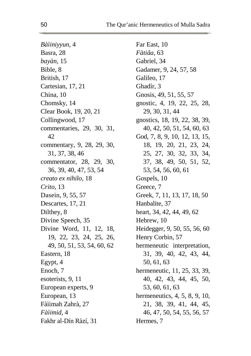*Bàìiniyyun*, 4 Basra, 28 *bayàn*, 15 Bible, 8 British, 17 Cartesian, 17, 21 China, 10 Chomsky, 14 Clear Book, 19, 20, 21 Collingwood, 17 commentaries, 29, 30, 31, 42 commentary, 9, 28, 29, 30, 31, 37, 38, 46 commentator, 28, 29, 30, 36, 39, 40, 47, 53, 54 *creato ex nihilo*, 18 *Crito*, 13 Dasein, 9, 55, 57 Descartes, 17, 21 Dilthey, 8 Divine Speech, 35 Divine Word, 11, 12, 18, 19, 22, 23, 24, 25, 26, 49, 50, 51, 53, 54, 60, 62 Eastern, 18 Egypt, 4 Enoch, 7 esoterists, 9, 11 European experts, 9 European, 13 Fàìimah Zahrà, 27 *Fàìimid*, 4 Fakhr al-Dín Ràzí, 31

Far East, 10 *Fàtiåa*, 63 Gabriel, 34 Gadamer, 9, 24, 57, 58 Galileo, 17 Ghadír, 3 Gnosis, 49, 51, 55, 57 gnostic, 4, 19, 22, 25, 28, 29, 30, 31, 44 gnostics, 18, 19, 22, 38, 39, 40, 42, 50, 51, 54, 60, 63 God, 7, 8, 9, 10, 12, 13, 15, 18, 19, 20, 21, 23, 24, 25, 27, 30, 32, 33, 34, 37, 38, 49, 50, 51, 52, 53, 54, 56, 60, 61 Gospels, 10 Greece, 7 Greek, 7, 11, 13, 17, 18, 50 Hanbalite, 37 heart, 34, 42, 44, 49, 62 Hebrew, 10 Heidegger, 9, 50, 55, 56, 60 Henry Corbin, 57 hermeneutic interpretation, 31, 39, 40, 42, 43, 44, 50, 61, 63 hermeneutic, 11, 25, 33, 39, 40, 42, 43, 44, 45, 50, 53, 60, 61, 63 hermeneutics, 4, 5, 8, 9, 10, 21, 38, 39, 41, 44, 45, 46, 47, 50, 54, 55, 56, 57 Hermes, 7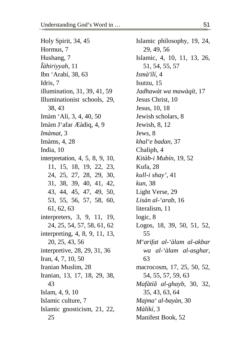Holy Spirit, 34, 45 Hormus, 7 Hushang, 7 *Îàhiriyyah*, 11 Ibn 'Arabí, 38, 63 Idris, 7 illumination, 31, 39, 41, 59 Illuminationist schools, 29, 38, 43 Imàm 'Alí, 3, 4, 40, 50 Imàm J'afar Æàdiq, 4, 9 *Imàmat*, 3 Imàms, 4, 28 India, 10 interpretation, 4, 5, 8, 9, 10, 11, 15, 18, 19, 22, 23, 24, 25, 27, 28, 29, 30, 31, 38, 39, 40, 41, 42, 43, 44, 45, 47, 49, 50, 53, 55, 56, 57, 58, 60, 61, 62, 63 interpreters, 3, 9, 11, 19, 24, 25, 54, 57, 58, 61, 62 interpreting, 4, 8, 9, 11, 13, 20, 25, 43, 56 interpretive, 28, 29, 31, 36 Iran, 4, 7, 10, 50 Iranian Muslim, 28 Iranian, 13, 17, 18, 29, 38, 43 Islam, 4, 9, 10 Islamic culture, 7 Islamic gnosticism, 21, 22, 25

Islamic philosophy, 19, 24, 29, 49, 56 Islamic, 4, 10, 11, 13, 26, 51, 54, 55, 57 *Ismà'ílí*, 4 Isutzu, 15 *Jadhawàt wa mawàqít*, 17 Jesus Christ, 10 Jesus, 10, 18 Jewish scholars, 8 Jewish, 8, 12 Jews, 8 *khal'e badan*, 37 Chaliph, 4 *Kitàb-i Mubín*, 19, 52 Kufa, 28 *kull-i shay'*, 41 *kun*, 38 Light Verse, 29 *Lisàn al-'arab*, 16 literalism, 11 logic, 8 Logos, 18, 39, 50, 51, 52, 55 *M'arifat al-'àlam al-akbar wa al-'àlam al-asghar*, 63 macrocosm, 17, 25, 50, 52, 54, 55, 57, 59, 63 *Mafàtíå al-ghayb*, 30, 32, 35, 43, 63, 64 *Majma' al-bayàn*, 30 *Màlikí*, 3 Manifest Book, 52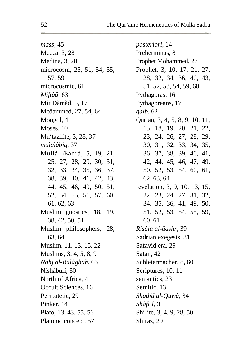*mass*, 45 Mecca, 3, 28 Medina, 3, 28 microcosm, 25, 51, 54, 55, 57, 59 microcosmic, 61 *Miftàå*, 63 Mír Dàmàd, 5, 17 Moåammed, 27, 54, 64 Mongol, 4 Moses, 10 Mu'tazilite, 3, 28, 37 *muìaìàbiq*, 37 Mullà Æadrà, 5, 19, 21, 25, 27, 28, 29, 30, 31, 32, 33, 34, 35, 36, 37, 38, 39, 40, 41, 42, 43, 44, 45, 46, 49, 50, 51, 52, 54, 55, 56, 57, 60, 61, 62, 63 Muslim gnostics, 18, 19, 38, 42, 50, 51 Muslim philosophers, 28, 63, 64 Muslim, 11, 13, 15, 22 Muslims, 3, 4, 5, 8, 9 *Nahj al-Balàghah*, 63 Níshàburí, 30 North of Africa, 4 Occult Sciences, 16 Peripatetic, 29 Pinker, 14 Plato, 13, 43, 55, 56 Platonic concept, 57

*posteriori*, 14 Preherminas, 8 Prophet Mohammed, 27 Prophet, 3, 10, 17, 21, 27, 28, 32, 34, 36, 40, 43, 51, 52, 53, 54, 59, 60 Pythagoras, 16 Pythagoreans, 17 *qalb*, 62 Qur'an, 3, 4, 5, 8, 9, 10, 11, 15, 18, 19, 20, 21, 22, 23, 24, 26, 27, 28, 29, 30, 31, 32, 33, 34, 35, 36, 37, 38, 39, 40, 41, 42, 44, 45, 46, 47, 49, 50, 52, 53, 54, 60, 61, 62, 63, 64 revelation, 3, 9, 10, 13, 15, 22, 23, 24, 27, 31, 32, 34, 35, 36, 41, 49, 50, 51, 52, 53, 54, 55, 59, 60, 61 *Risàla al-åashr*, 39 Sadrian exegesis, 31 Safavid era, 29 Satan, 42 Schleiermacher, 8, 60 Scriptures, 10, 11 semantics, 23 Semitic, 13 *Shadíd al-Quwà*, 34 *Shàfi'í*, 3 Shi'ite, 3, 4, 9, 28, 50 Shiraz, 29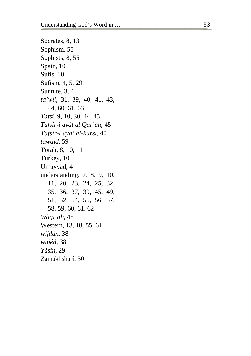Socrates, 8, 13 Sophism, 55 Sophists, 8, 55 Spain, 10 Su fi s, 10 Su fi s m, 4, 5, 29 Sunnite, 3, 4 ta'wíl, 31, 39, 40, 41, 43, 44, 60, 61, 63 *Tafsí*, 9, 10 , 30, 44 , 45 *Tafs ír - i à y à t a l Q u r 'an*, 45 *Tafs ír-i à y a t a l -kursí*, 40 *t a w åíd* , 59 T o rah, 8, 10, 11 Turkey, 10 U may yad, 4 understanding, 7, 8, 9, 10, 11, 20, 23, 24 , 25, 3 2, 35, 36, 37, 39, 45, 49, 51, 52, 54, 55 , 56, 5 7, 58, 59, 60, 61, 62 *Wàqi'ah*, 45 Western, 13, 18, 55, 61 *wijdàn* , 38 *w ujêd*, 38 *Yà sín* , 29 Z a m a kh sharí, 30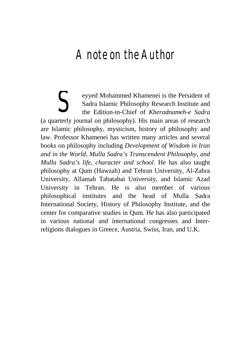## *A note on the Author*

eyyed Mohammed Khamenei is the Persident of Sadra Islamic Philosophy Research Institute and the Edition-in-Chief of *Kheradnameh-e Sadra* Subsemburnal Khamenei is the Persident of Sadra Islamic Philosophy Research Institute and the Edition-in-Chief of *Kheradnameh-e Sadra* (a quarterly journal on philosophy). His main areas of research are Islamic philosophy, mysticism, history of philosophy and law. Professor Khamenei has written many articles and several books on philosophy including *Development of Wisdom in Iran and in the World, Mulla Sadra's Transcendent Philosophy, and Mulla Sadra's life, character and school*. He has also taught philosophy at Qum (Hawzah) and Tehran University, Al-Zahra University, Allamah Tabatabai University, and Islamic Azad University in Tehran. He is also member of various philosophical institutes and the head of Mulla Sadra International Society, History of Philosophy Institute, and the center for comparative studies in Qum. He has also participated in various national and international congresses and Interreligions dialogues in Greece, Austria, Swiss, Iran, and U.K.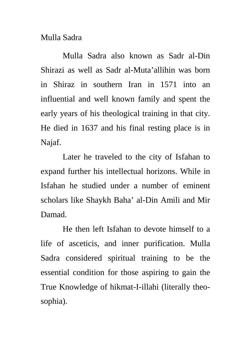## Mulla Sadra

Mulla Sadra also known as Sadr al-Din Shirazi as well as Sadr al-Muta'allihin was born in Shiraz in southern Iran in 1571 into an influential and well known family and spent the early years of his theological training in that city. He died in 1637 and his final resting place is in Najaf.

Later he traveled to the city of Isfahan to expand further his intellectual horizons. While in Isfahan he studied under a number of eminent scholars like Shaykh Baha' al-Din Amili and Mir Damad.

He then left Isfahan to devote himself to a life of asceticis, and inner purification. Mulla Sadra considered spiritual training to be the essential condition for those aspiring to gain the True Knowledge of hikmat-I-illahi (literally theosophia).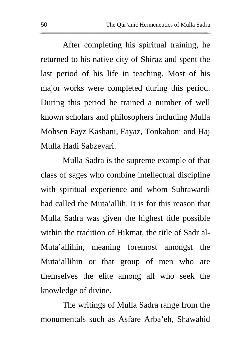After completing his spiritual training, he returned to his native city of Shiraz and spent the last period of his life in teaching. Most of his major works were completed during this period. During this period he trained a number of well known scholars and philosophers including Mulla Mohsen Fayz Kashani, Fayaz, Tonkaboni and Haj Mulla Hadi Sabzevari.

Mulla Sadra is the supreme example of that class of sages who combine intellectual discipline with spiritual experience and whom Suhrawardi had called the Muta'allih. It is for this reason that Mulla Sadra was given the highest title possible within the tradition of Hikmat, the title of Sadr al-Muta'allihin, meaning foremost amongst the Muta'allihin or that group of men who are themselves the elite among all who seek the knowledge of divine.

The writings of Mulla Sadra range from the monumentals such as Asfare Arba'eh, Shawahid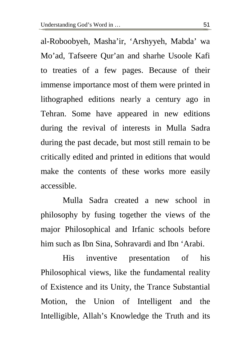al-Roboobyeh, Masha'ir, 'Arshyyeh, Mabda' wa Mo'ad, Tafseere Qur'an and sharhe Usoole Kafi to treaties of a few pages. Because of their immense importance most of them were printed in lithographed editions nearly a century ago in Tehran. Some have appeared in new editions during the revival of interests in Mulla Sadra during the past decade, but most still remain to be critically edited and printed in editions that would make the contents of these works more easily accessible.

Mulla Sadra created a new school in philosophy by fusing together the views of the major Philosophical and Irfanic schools before him such as Ibn Sina, Sohravardi and Ibn 'Arabi.

His inventive presentation of his Philosophical views, like the fundamental reality of Existence and its Unity, the Trance Substantial Motion, the Union of Intelligent and the Intelligible, Allah's Knowledge the Truth and its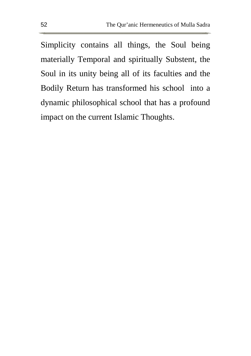Simplicity contains all things, the Soul being materially Temporal and spiritually Substent, the Soul in its unity being all of its faculties and the Bodily Return has transformed his school into a dynamic philosophical school that has a profound impact on the current Islamic Thoughts.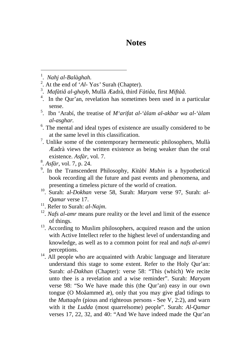## **Notes**

1 . *Nahj al-Balàghah.*

 $\overline{a}$ 

- 2 . At the end of '*Al-* Y*as'* Surah (Chapter).
- 3 . *Mafàtiå al-ghayb*, Mullà Æadrà, third *Fàtiåa*, first *Miftàå*.
- 4 . In the Qur'an, revelation has sometimes been used in a particular sense.
- 5 . Ibn 'Arabí, the treatise of *M'arifat al-'àlam al-akbar wa al-'àlam al-asghar.*
- <sup>6</sup>. The mental and ideal types of existence are usually considered to be at the same level in this classification.
- $7$ . Unlike some of the contemporary hermeneutic philosophers, Mullà Æadrà views the written existence as being weaker than the oral existence. *Asfàr*, vol. 7.
- 8 . *Asfàr*, vol. 7, p. 24.
- 9 . In the Transcendent Philosophy, *Kitàbi Mubin* is a hypothetical book recording all the future and past events and phenomena, and presenting a timeless picture of the world of creation.
- 10 . Surah: a*l-Dokhan* verse 58, Surah: *Maryam* verse 97, Surah: *al-Qamar* verse 17.
- <sup>11</sup>. Refer to Surah: *al-Najm*.
- <sup>12</sup>. *Nafs al-amr* means pure reality or the level and limit of the essence of things.
- <sup>13</sup>. According to Muslim philosophers, acquired reason and the union with Active Intellect refer to the highest level of understanding and knowledge, as well as to a common point for real and *nafs al-amri* perceptions.
- <sup>14</sup>. All people who are acquainted with Arabic language and literature understand this stage to some extent. Refer to the Holy Qur'an: Surah: *al*-*Dakhan* (Chapter)*:* verse 58: "This (which) We recite unto thee is a revelation and a wise reminder". Surah: *Maryam*  verse 98: "So We have made this (the Qur'an) easy in our own tongue (O Moåammed æ), only that you may give glad tidings to the *Muttaqên* (pious and righteous persons - See V, 2:2), and warn with it the *Ludda* (most quarrelsome) people". Surah: *Al-Qamar*  verses 17, 22, 32, and 40: "And We have indeed made the Qur'an